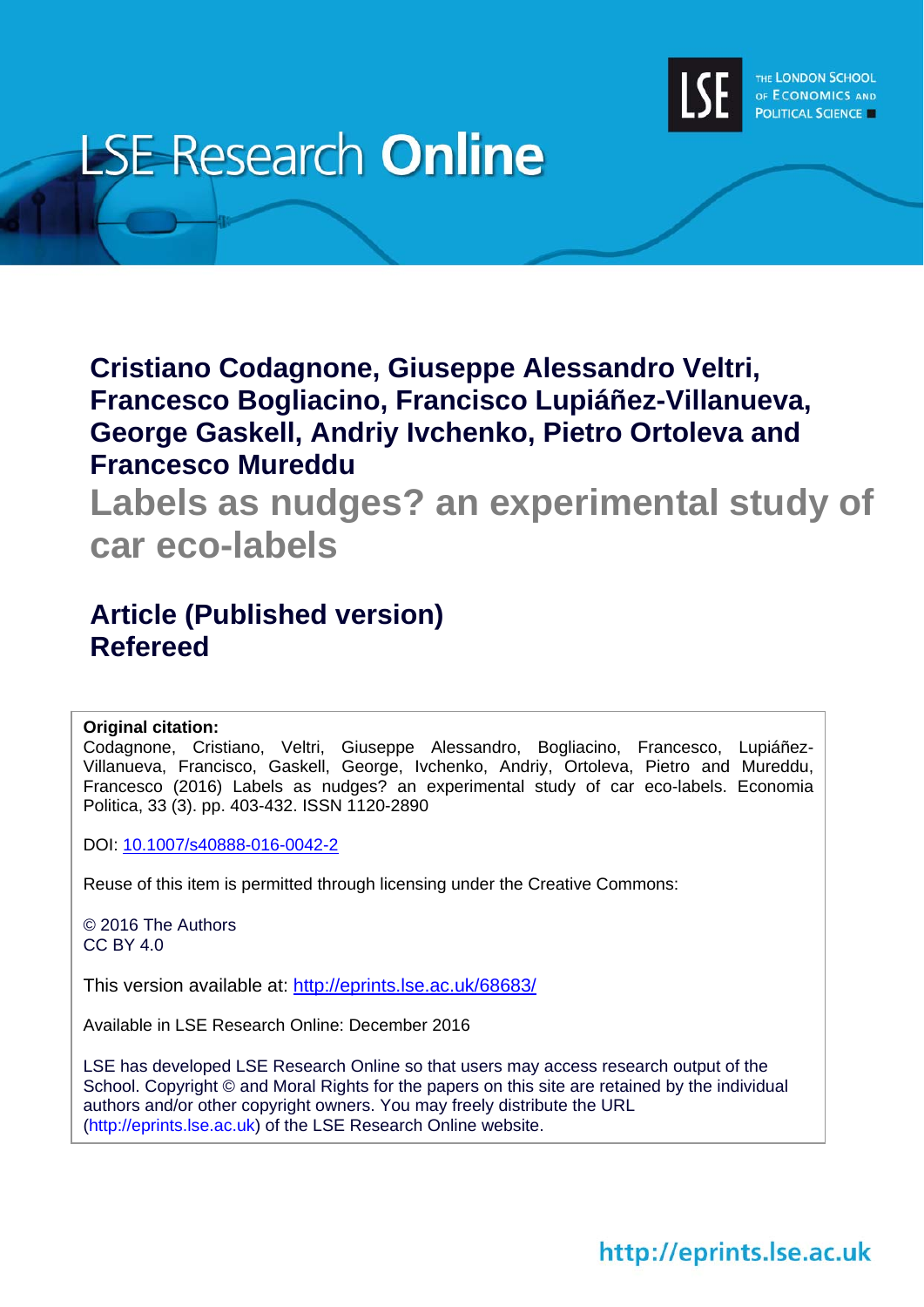

# **LSE Research Online**

**Cristiano Codagnone, Giuseppe Alessandro Veltri, Francesco Bogliacino, Francisco Lupiáñez-Villanueva, George Gaskell, Andriy Ivchenko, Pietro Ortoleva and Francesco Mureddu** 

**Labels as nudges? an experimental study of car eco-labels**

## **Article (Published version) Refereed**

### **Original citation:**

Codagnone, Cristiano, Veltri, Giuseppe Alessandro, Bogliacino, Francesco, Lupiáñez-Villanueva, Francisco, Gaskell, George, Ivchenko, Andriy, Ortoleva, Pietro and Mureddu, Francesco (2016) Labels as nudges? an experimental study of car eco-labels. Economia Politica, 33 (3). pp. 403-432. ISSN 1120-2890

DOI: 10.1007/s40888-016-0042-2

Reuse of this item is permitted through licensing under the Creative Commons:

© 2016 The Authors CC BY 4.0

This version available at: http://eprints.lse.ac.uk/68683/

Available in LSE Research Online: December 2016

LSE has developed LSE Research Online so that users may access research output of the School. Copyright © and Moral Rights for the papers on this site are retained by the individual authors and/or other copyright owners. You may freely distribute the URL (http://eprints.lse.ac.uk) of the LSE Research Online website.

# http://eprints.lse.ac.uk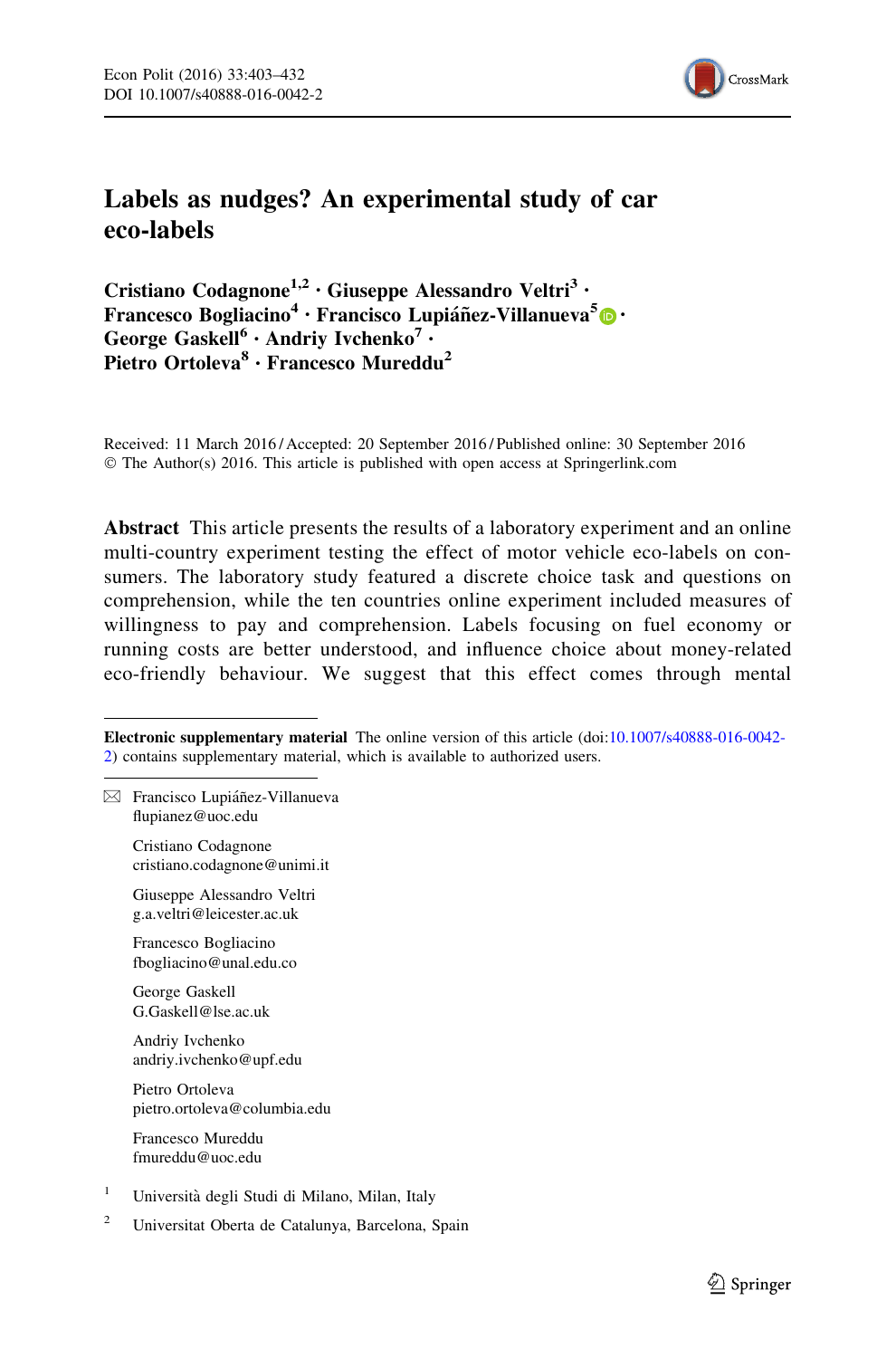

## Labels as nudges? An experimental study of car eco-labels

Cristiano Codagnone<sup>1,2</sup> · Giuseppe Alessandro Veltri<sup>3</sup> · Francesco Bogliacino<sup>4</sup> · Francisco Lupianez-Villanueva<sup>5</sup> <sup>o</sup> · George Gaskell<sup>6</sup> · Andriy Ivchenko<sup>7</sup> · Pietro Ortoleva<sup>8</sup> · Francesco Mureddu<sup>2</sup>

Received: 11 March 2016 / Accepted: 20 September 2016 / Published online: 30 September 2016 © The Author(s) 2016. This article is published with open access at Springerlink.com

Abstract This article presents the results of a laboratory experiment and an online multi-country experiment testing the effect of motor vehicle eco-labels on consumers. The laboratory study featured a discrete choice task and questions on comprehension, while the ten countries online experiment included measures of willingness to pay and comprehension. Labels focusing on fuel economy or running costs are better understood, and influence choice about money-related eco-friendly behaviour. We suggest that this effect comes through mental

Electronic supplementary material The online version of this article (doi:[10.1007/s40888-016-0042-](http://dx.doi.org/10.1007/s40888-016-0042-2) [2\)](http://dx.doi.org/10.1007/s40888-016-0042-2) contains supplementary material, which is available to authorized users.

 $\boxtimes$  Francisco Lupiáñez-Villanueva flupianez@uoc.edu

> Cristiano Codagnone cristiano.codagnone@unimi.it

Giuseppe Alessandro Veltri g.a.veltri@leicester.ac.uk

Francesco Bogliacino fbogliacino@unal.edu.co

George Gaskell G.Gaskell@lse.ac.uk

Andriy Ivchenko andriy.ivchenko@upf.edu

Pietro Ortoleva pietro.ortoleva@columbia.edu

Francesco Mureddu fmureddu@uoc.edu

- <sup>1</sup> Universita` degli Studi di Milano, Milan, Italy
- <sup>2</sup> Universitat Oberta de Catalunya, Barcelona, Spain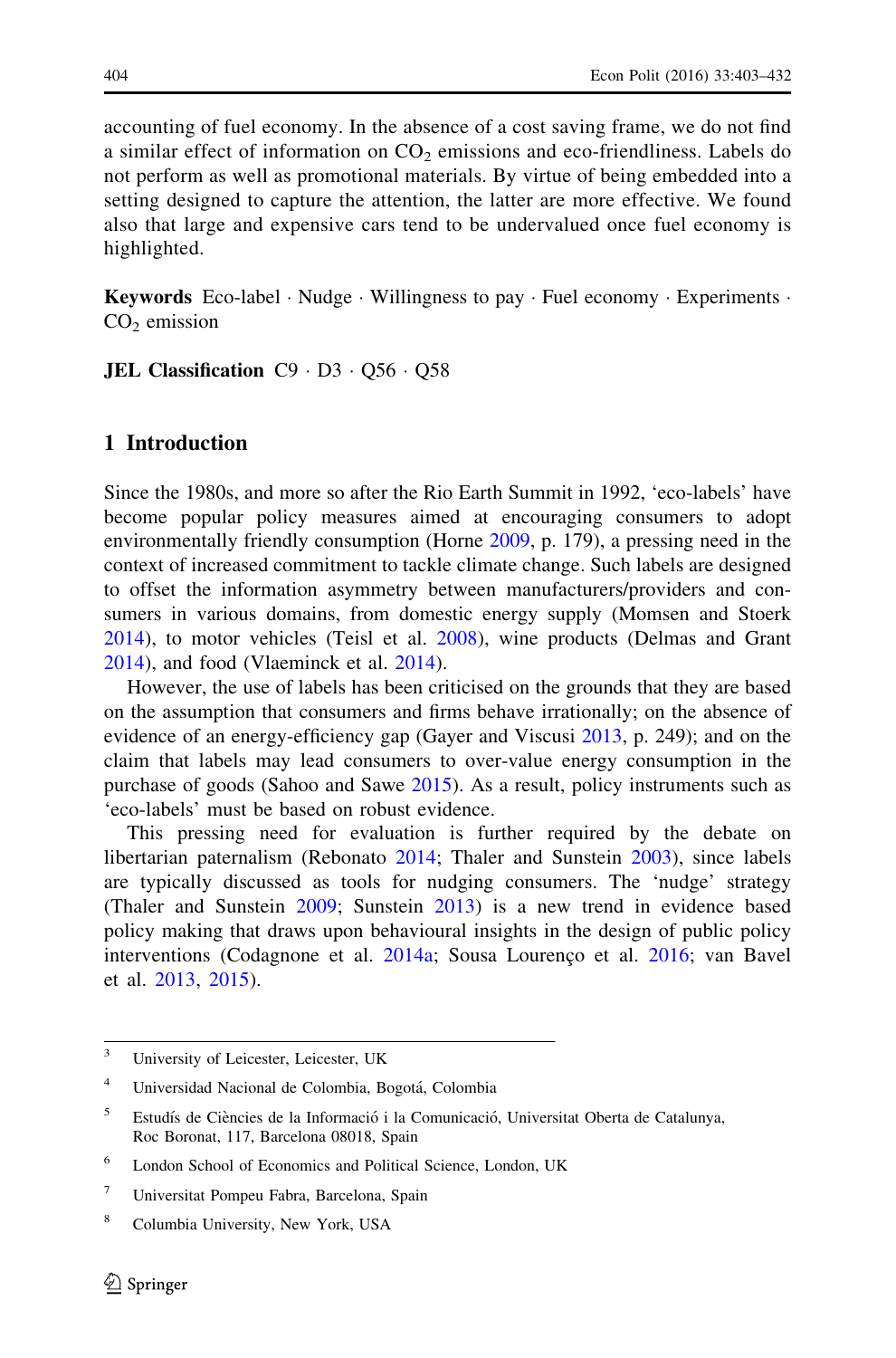accounting of fuel economy. In the absence of a cost saving frame, we do not find a similar effect of information on  $CO<sub>2</sub>$  emissions and eco-friendliness. Labels do not perform as well as promotional materials. By virtue of being embedded into a setting designed to capture the attention, the latter are more effective. We found also that large and expensive cars tend to be undervalued once fuel economy is highlighted.

Keywords Eco-label · Nudge · Willingness to pay · Fuel economy · Experiments ·  $CO<sub>2</sub>$  emission

**JEL Classification**  $C9 \cdot D3 \cdot Q56 \cdot Q58$ 

#### 1 Introduction

Since the 1980s, and more so after the Rio Earth Summit in 1992, 'eco-labels' have become popular policy measures aimed at encouraging consumers to adopt environmentally friendly consumption (Horne [2009](#page-28-0), p. 179), a pressing need in the context of increased commitment to tackle climate change. Such labels are designed to offset the information asymmetry between manufacturers/providers and consumers in various domains, from domestic energy supply (Momsen and Stoerk [2014\)](#page-29-0), to motor vehicles (Teisl et al. [2008](#page-30-0)), wine products (Delmas and Grant [2014\)](#page-28-0), and food (Vlaeminck et al. [2014\)](#page-30-0).

However, the use of labels has been criticised on the grounds that they are based on the assumption that consumers and firms behave irrationally; on the absence of evidence of an energy-efficiency gap (Gayer and Viscusi [2013](#page-28-0), p. 249); and on the claim that labels may lead consumers to over-value energy consumption in the purchase of goods (Sahoo and Sawe [2015\)](#page-29-0). As a result, policy instruments such as 'eco-labels' must be based on robust evidence.

This pressing need for evaluation is further required by the debate on libertarian paternalism (Rebonato [2014](#page-29-0); Thaler and Sunstein [2003\)](#page-30-0), since labels are typically discussed as tools for nudging consumers. The 'nudge' strategy (Thaler and Sunstein [2009](#page-30-0); Sunstein [2013](#page-30-0)) is a new trend in evidence based policy making that draws upon behavioural insights in the design of public policy interventions (Codagnone et al. [2014a;](#page-27-0) Sousa Lourenço et al. [2016](#page-30-0); van Bavel et al. [2013](#page-30-0), [2015](#page-30-0)).

<sup>&</sup>lt;sup>3</sup> University of Leicester, Leicester, UK

<sup>&</sup>lt;sup>4</sup> Universidad Nacional de Colombia, Bogotá, Colombia

<sup>&</sup>lt;sup>5</sup> Estudís de Ciències de la Informació i la Comunicació, Universitat Oberta de Catalunya, Roc Boronat, 117, Barcelona 08018, Spain

<sup>6</sup> London School of Economics and Political Science, London, UK

<sup>7</sup> Universitat Pompeu Fabra, Barcelona, Spain

<sup>8</sup> Columbia University, New York, USA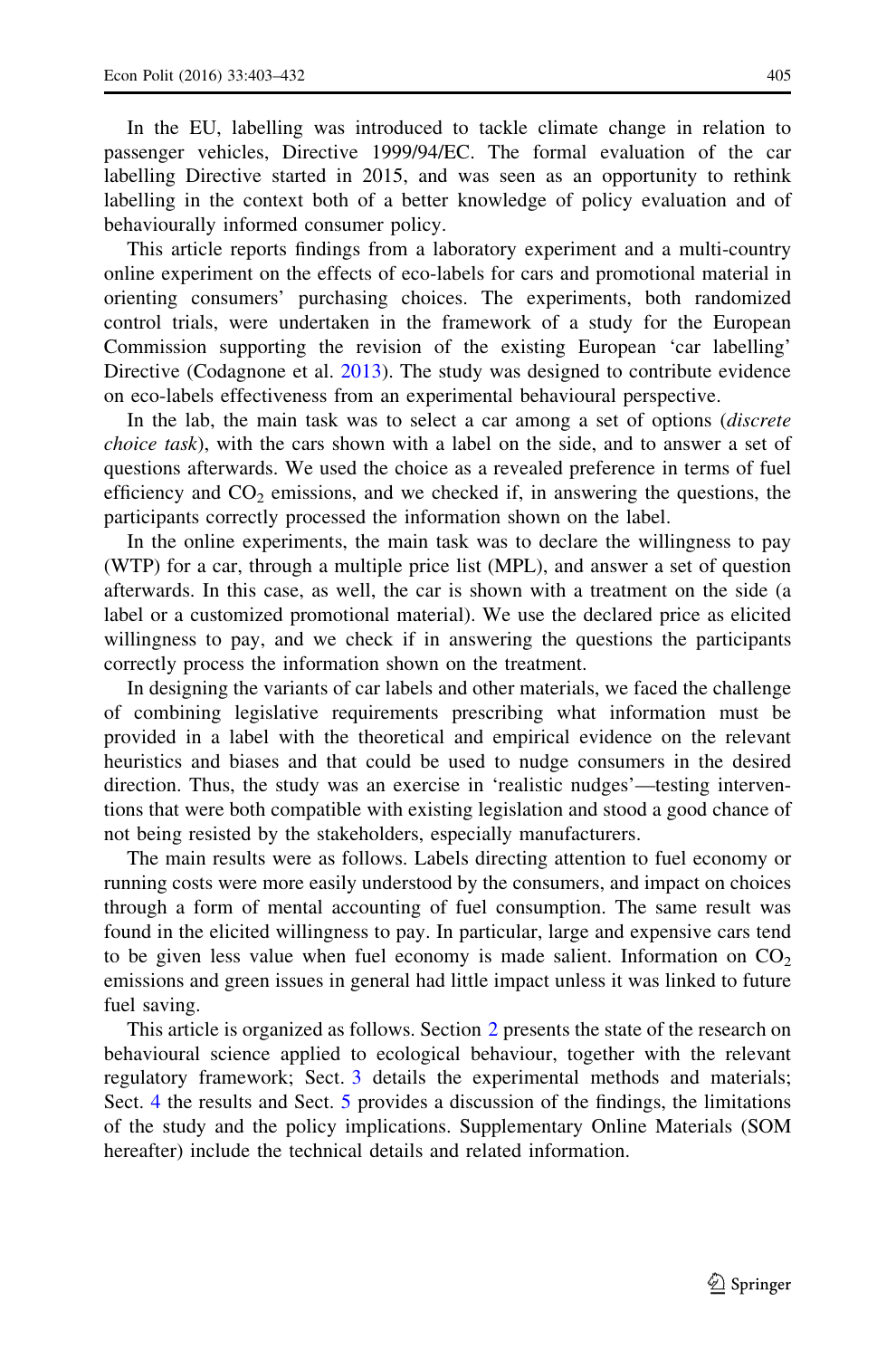In the EU, labelling was introduced to tackle climate change in relation to passenger vehicles, Directive 1999/94/EC. The formal evaluation of the car labelling Directive started in 2015, and was seen as an opportunity to rethink labelling in the context both of a better knowledge of policy evaluation and of behaviourally informed consumer policy.

This article reports findings from a laboratory experiment and a multi-country online experiment on the effects of eco-labels for cars and promotional material in orienting consumers' purchasing choices. The experiments, both randomized control trials, were undertaken in the framework of a study for the European Commission supporting the revision of the existing European 'car labelling' Directive (Codagnone et al. [2013](#page-27-0)). The study was designed to contribute evidence on eco-labels effectiveness from an experimental behavioural perspective.

In the lab, the main task was to select a car among a set of options *(discrete*) choice task), with the cars shown with a label on the side, and to answer a set of questions afterwards. We used the choice as a revealed preference in terms of fuel efficiency and  $CO<sub>2</sub>$  emissions, and we checked if, in answering the questions, the participants correctly processed the information shown on the label.

In the online experiments, the main task was to declare the willingness to pay (WTP) for a car, through a multiple price list (MPL), and answer a set of question afterwards. In this case, as well, the car is shown with a treatment on the side (a label or a customized promotional material). We use the declared price as elicited willingness to pay, and we check if in answering the questions the participants correctly process the information shown on the treatment.

In designing the variants of car labels and other materials, we faced the challenge of combining legislative requirements prescribing what information must be provided in a label with the theoretical and empirical evidence on the relevant heuristics and biases and that could be used to nudge consumers in the desired direction. Thus, the study was an exercise in 'realistic nudges'—testing interventions that were both compatible with existing legislation and stood a good chance of not being resisted by the stakeholders, especially manufacturers.

The main results were as follows. Labels directing attention to fuel economy or running costs were more easily understood by the consumers, and impact on choices through a form of mental accounting of fuel consumption. The same result was found in the elicited willingness to pay. In particular, large and expensive cars tend to be given less value when fuel economy is made salient. Information on  $CO<sub>2</sub>$ emissions and green issues in general had little impact unless it was linked to future fuel saving.

This article is organized as follows. Section [2](#page-4-0) presents the state of the research on behavioural science applied to ecological behaviour, together with the relevant regulatory framework; Sect. [3](#page-7-0) details the experimental methods and materials; Sect. [4](#page-16-0) the results and Sect. [5](#page-21-0) provides a discussion of the findings, the limitations of the study and the policy implications. Supplementary Online Materials (SOM hereafter) include the technical details and related information.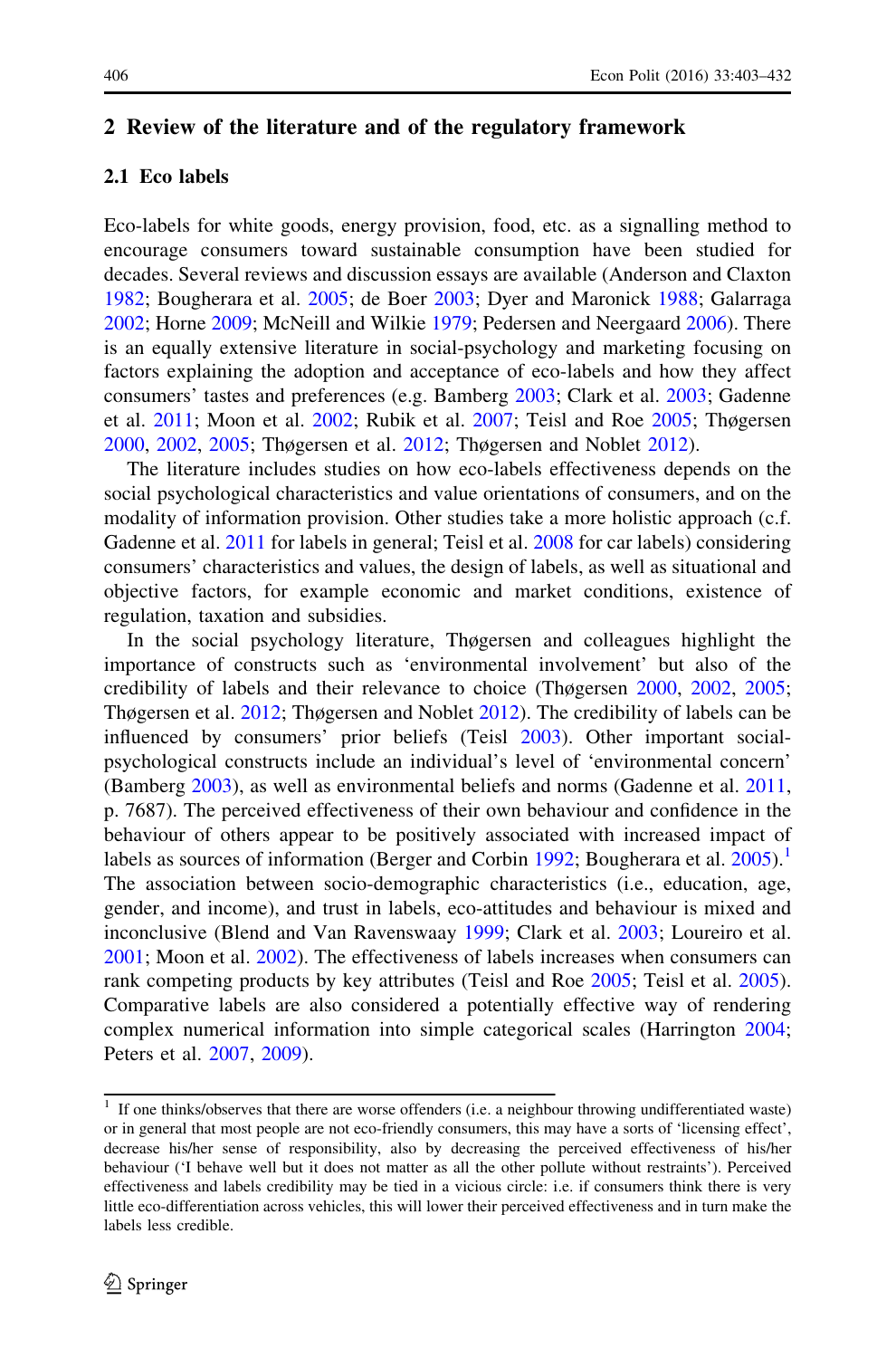#### <span id="page-4-0"></span>2 Review of the literature and of the regulatory framework

#### 2.1 Eco labels

Eco-labels for white goods, energy provision, food, etc. as a signalling method to encourage consumers toward sustainable consumption have been studied for decades. Several reviews and discussion essays are available (Anderson and Claxton [1982;](#page-27-0) Bougherara et al. [2005](#page-27-0); de Boer [2003;](#page-28-0) Dyer and Maronick [1988;](#page-28-0) Galarraga [2002;](#page-28-0) Horne [2009;](#page-28-0) McNeill and Wilkie [1979;](#page-29-0) Pedersen and Neergaard [2006\)](#page-29-0). There is an equally extensive literature in social-psychology and marketing focusing on factors explaining the adoption and acceptance of eco-labels and how they affect consumers' tastes and preferences (e.g. Bamberg [2003;](#page-27-0) Clark et al. [2003;](#page-27-0) Gadenne et al. [2011](#page-28-0); Moon et al. [2002](#page-29-0); Rubik et al. [2007;](#page-29-0) Teisl and Roe [2005;](#page-30-0) Thøgersen [2000,](#page-30-0) [2002,](#page-30-0) [2005;](#page-30-0) Thøgersen et al. [2012;](#page-30-0) Thøgersen and Noblet [2012\)](#page-30-0).

The literature includes studies on how eco-labels effectiveness depends on the social psychological characteristics and value orientations of consumers, and on the modality of information provision. Other studies take a more holistic approach (c.f. Gadenne et al. [2011](#page-28-0) for labels in general; Teisl et al. [2008](#page-30-0) for car labels) considering consumers' characteristics and values, the design of labels, as well as situational and objective factors, for example economic and market conditions, existence of regulation, taxation and subsidies.

In the social psychology literature, Thøgersen and colleagues highlight the importance of constructs such as 'environmental involvement' but also of the credibility of labels and their relevance to choice (Thøgersen [2000](#page-30-0), [2002,](#page-30-0) [2005;](#page-30-0) Thøgersen et al. [2012;](#page-30-0) Thøgersen and Noblet [2012](#page-30-0)). The credibility of labels can be influenced by consumers' prior beliefs (Teisl [2003](#page-30-0)). Other important socialpsychological constructs include an individual's level of 'environmental concern' (Bamberg [2003\)](#page-27-0), as well as environmental beliefs and norms (Gadenne et al. [2011,](#page-28-0) p. 7687). The perceived effectiveness of their own behaviour and confidence in the behaviour of others appear to be positively associated with increased impact of labels as sources of information (Berger and Corbin [1992;](#page-27-0) Bougherara et al.  $2005$ ).<sup>1</sup> The association between socio-demographic characteristics (i.e., education, age, gender, and income), and trust in labels, eco-attitudes and behaviour is mixed and inconclusive (Blend and Van Ravenswaay [1999;](#page-27-0) Clark et al. [2003](#page-27-0); Loureiro et al. [2001;](#page-29-0) Moon et al. [2002\)](#page-29-0). The effectiveness of labels increases when consumers can rank competing products by key attributes (Teisl and Roe [2005;](#page-30-0) Teisl et al. [2005\)](#page-30-0). Comparative labels are also considered a potentially effective way of rendering complex numerical information into simple categorical scales (Harrington [2004;](#page-28-0) Peters et al. [2007](#page-29-0), [2009](#page-29-0)).

 $1$  If one thinks/observes that there are worse offenders (i.e. a neighbour throwing undifferentiated waste) or in general that most people are not eco-friendly consumers, this may have a sorts of 'licensing effect', decrease his/her sense of responsibility, also by decreasing the perceived effectiveness of his/her behaviour ('I behave well but it does not matter as all the other pollute without restraints'). Perceived effectiveness and labels credibility may be tied in a vicious circle: i.e. if consumers think there is very little eco-differentiation across vehicles, this will lower their perceived effectiveness and in turn make the labels less credible.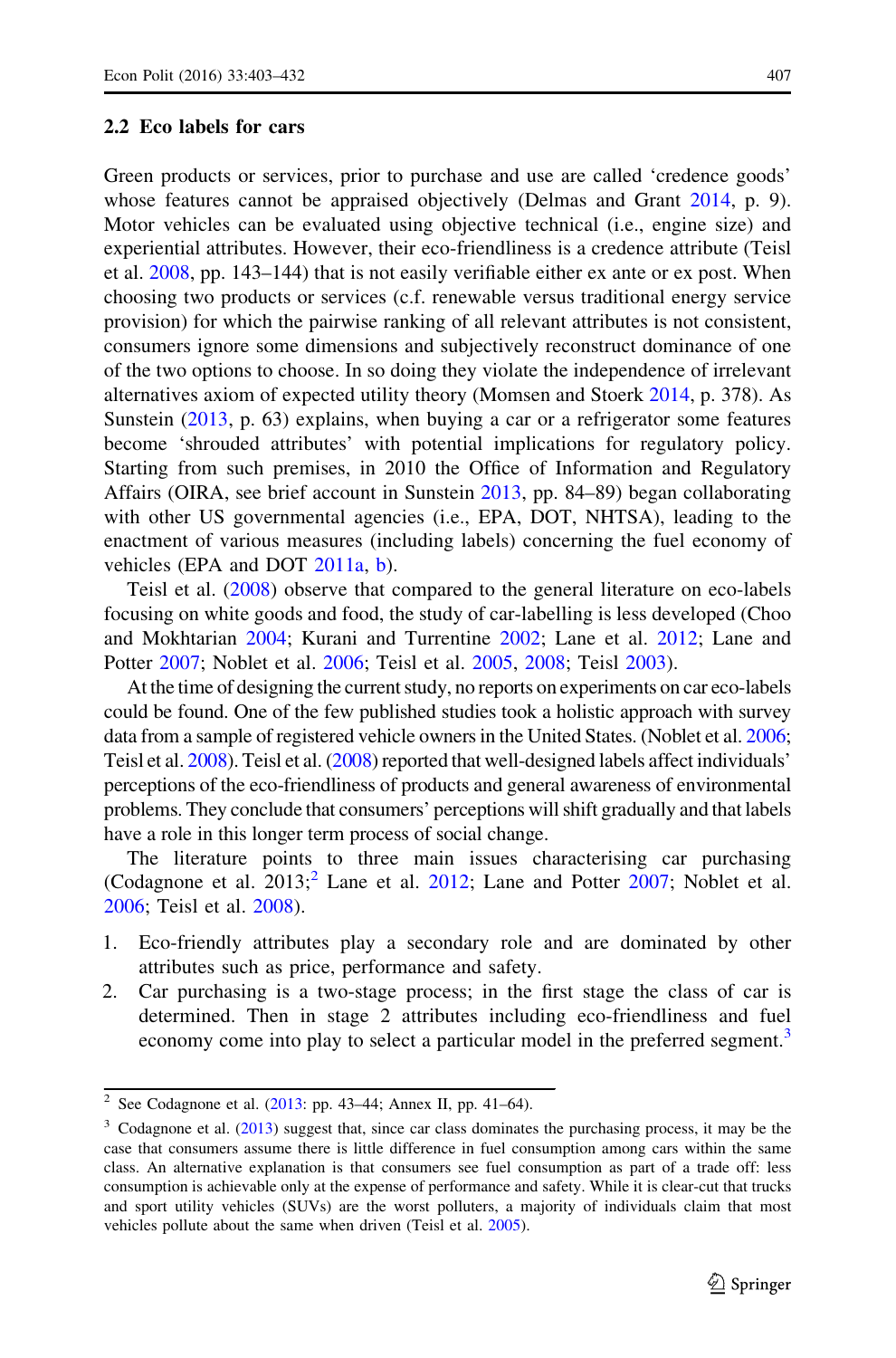#### 2.2 Eco labels for cars

Green products or services, prior to purchase and use are called 'credence goods' whose features cannot be appraised objectively (Delmas and Grant [2014,](#page-28-0) p. 9). Motor vehicles can be evaluated using objective technical (i.e., engine size) and experiential attributes. However, their eco-friendliness is a credence attribute (Teisl et al. [2008](#page-30-0), pp. 143–144) that is not easily verifiable either ex ante or ex post. When choosing two products or services (c.f. renewable versus traditional energy service provision) for which the pairwise ranking of all relevant attributes is not consistent, consumers ignore some dimensions and subjectively reconstruct dominance of one of the two options to choose. In so doing they violate the independence of irrelevant alternatives axiom of expected utility theory (Momsen and Stoerk [2014,](#page-29-0) p. 378). As Sunstein [\(2013](#page-30-0), p. 63) explains, when buying a car or a refrigerator some features become 'shrouded attributes' with potential implications for regulatory policy. Starting from such premises, in 2010 the Office of Information and Regulatory Affairs (OIRA, see brief account in Sunstein [2013,](#page-30-0) pp. 84–89) began collaborating with other US governmental agencies (i.e., EPA, DOT, NHTSA), leading to the enactment of various measures (including labels) concerning the fuel economy of vehicles (EPA and DOT [2011a,](#page-28-0) [b](#page-28-0)).

Teisl et al. ([2008\)](#page-30-0) observe that compared to the general literature on eco-labels focusing on white goods and food, the study of car-labelling is less developed (Choo and Mokhtarian [2004;](#page-27-0) Kurani and Turrentine [2002](#page-29-0); Lane et al. [2012](#page-29-0); Lane and Potter [2007](#page-29-0); Noblet et al. [2006;](#page-29-0) Teisl et al. [2005,](#page-30-0) [2008;](#page-30-0) Teisl [2003](#page-30-0)).

At the time of designing the current study, no reports on experiments on car eco-labels could be found. One of the few published studies took a holistic approach with survey data from a sample of registered vehicle owners in the United States. (Noblet et al. [2006;](#page-29-0) Teisl et al. [2008\)](#page-30-0). Teisl et al. [\(2008](#page-30-0)) reported that well-designed labels affect individuals' perceptions of the eco-friendliness of products and general awareness of environmental problems. They conclude that consumers' perceptions will shift gradually and that labels have a role in this longer term process of social change.

The literature points to three main issues characterising car purchasing (Codagnone et al.  $2013$ ; Lane et al.  $2012$ ; Lane and Potter  $2007$ ; Noblet et al. [2006;](#page-29-0) Teisl et al. [2008](#page-30-0)).

- 1. Eco-friendly attributes play a secondary role and are dominated by other attributes such as price, performance and safety.
- 2. Car purchasing is a two-stage process; in the first stage the class of car is determined. Then in stage 2 attributes including eco-friendliness and fuel economy come into play to select a particular model in the preferred segment.<sup>3</sup>

<sup>&</sup>lt;sup>2</sup> See Codagnone et al. ([2013](#page-27-0): pp. 43–44; Annex II, pp. 41–64).

 $3$  Codagnone et al. [\(2013](#page-27-0)) suggest that, since car class dominates the purchasing process, it may be the case that consumers assume there is little difference in fuel consumption among cars within the same class. An alternative explanation is that consumers see fuel consumption as part of a trade off: less consumption is achievable only at the expense of performance and safety. While it is clear-cut that trucks and sport utility vehicles (SUVs) are the worst polluters, a majority of individuals claim that most vehicles pollute about the same when driven (Teisl et al. [2005\)](#page-30-0).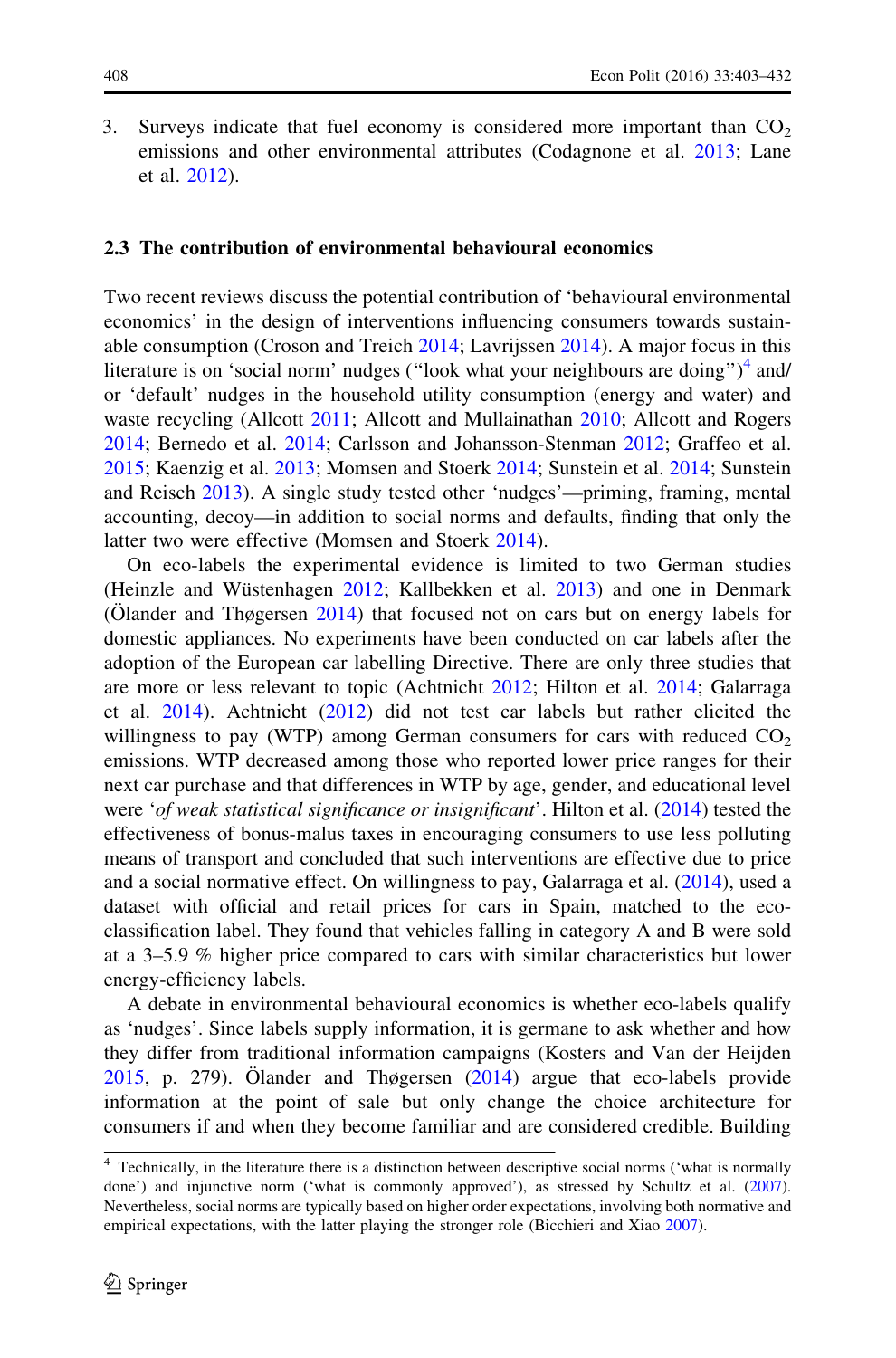3. Surveys indicate that fuel economy is considered more important than  $CO<sub>2</sub>$ emissions and other environmental attributes (Codagnone et al. [2013;](#page-27-0) Lane et al. [2012\)](#page-29-0).

#### 2.3 The contribution of environmental behavioural economics

Two recent reviews discuss the potential contribution of 'behavioural environmental economics' in the design of interventions influencing consumers towards sustainable consumption (Croson and Treich [2014](#page-28-0); Lavrijssen [2014\)](#page-29-0). A major focus in this literature is on 'social norm' nudges ("look what your neighbours are doing")<sup>4</sup> and/ or 'default' nudges in the household utility consumption (energy and water) and waste recycling (Allcott [2011;](#page-27-0) Allcott and Mullainathan [2010;](#page-27-0) Allcott and Rogers [2014;](#page-27-0) Bernedo et al. [2014;](#page-27-0) Carlsson and Johansson-Stenman [2012](#page-27-0); Graffeo et al. [2015;](#page-28-0) Kaenzig et al. [2013;](#page-29-0) Momsen and Stoerk [2014;](#page-29-0) Sunstein et al. [2014](#page-30-0); Sunstein and Reisch [2013](#page-30-0)). A single study tested other 'nudges'—priming, framing, mental accounting, decoy—in addition to social norms and defaults, finding that only the latter two were effective (Momsen and Stoerk [2014](#page-29-0)).

On eco-labels the experimental evidence is limited to two German studies (Heinzle and Wüstenhagen [2012](#page-28-0); Kallbekken et al. [2013\)](#page-29-0) and one in Denmark (Olander and Thøgersen  $2014$ ) that focused not on cars but on energy labels for domestic appliances. No experiments have been conducted on car labels after the adoption of the European car labelling Directive. There are only three studies that are more or less relevant to topic (Achtnicht [2012](#page-27-0); Hilton et al. [2014](#page-28-0); Galarraga et al. [2014\)](#page-28-0). Achtnicht ([2012\)](#page-27-0) did not test car labels but rather elicited the willingness to pay (WTP) among German consumers for cars with reduced  $CO<sub>2</sub>$ emissions. WTP decreased among those who reported lower price ranges for their next car purchase and that differences in WTP by age, gender, and educational level were 'of weak statistical significance or insignificant'. Hilton et al. [\(2014](#page-28-0)) tested the effectiveness of bonus-malus taxes in encouraging consumers to use less polluting means of transport and concluded that such interventions are effective due to price and a social normative effect. On willingness to pay, Galarraga et al. [\(2014](#page-28-0)), used a dataset with official and retail prices for cars in Spain, matched to the ecoclassification label. They found that vehicles falling in category A and B were sold at a 3–5.9 % higher price compared to cars with similar characteristics but lower energy-efficiency labels.

A debate in environmental behavioural economics is whether eco-labels qualify as 'nudges'. Since labels supply information, it is germane to ask whether and how they differ from traditional information campaigns (Kosters and Van der Heijden [2015,](#page-29-0) p. 279). Olander and Thøgersen  $(2014)$  $(2014)$  argue that eco-labels provide information at the point of sale but only change the choice architecture for consumers if and when they become familiar and are considered credible. Building

<sup>&</sup>lt;sup>4</sup> Technically, in the literature there is a distinction between descriptive social norms ('what is normally done') and injunctive norm ('what is commonly approved'), as stressed by Schultz et al. ([2007\)](#page-30-0). Nevertheless, social norms are typically based on higher order expectations, involving both normative and empirical expectations, with the latter playing the stronger role (Bicchieri and Xiao [2007](#page-27-0)).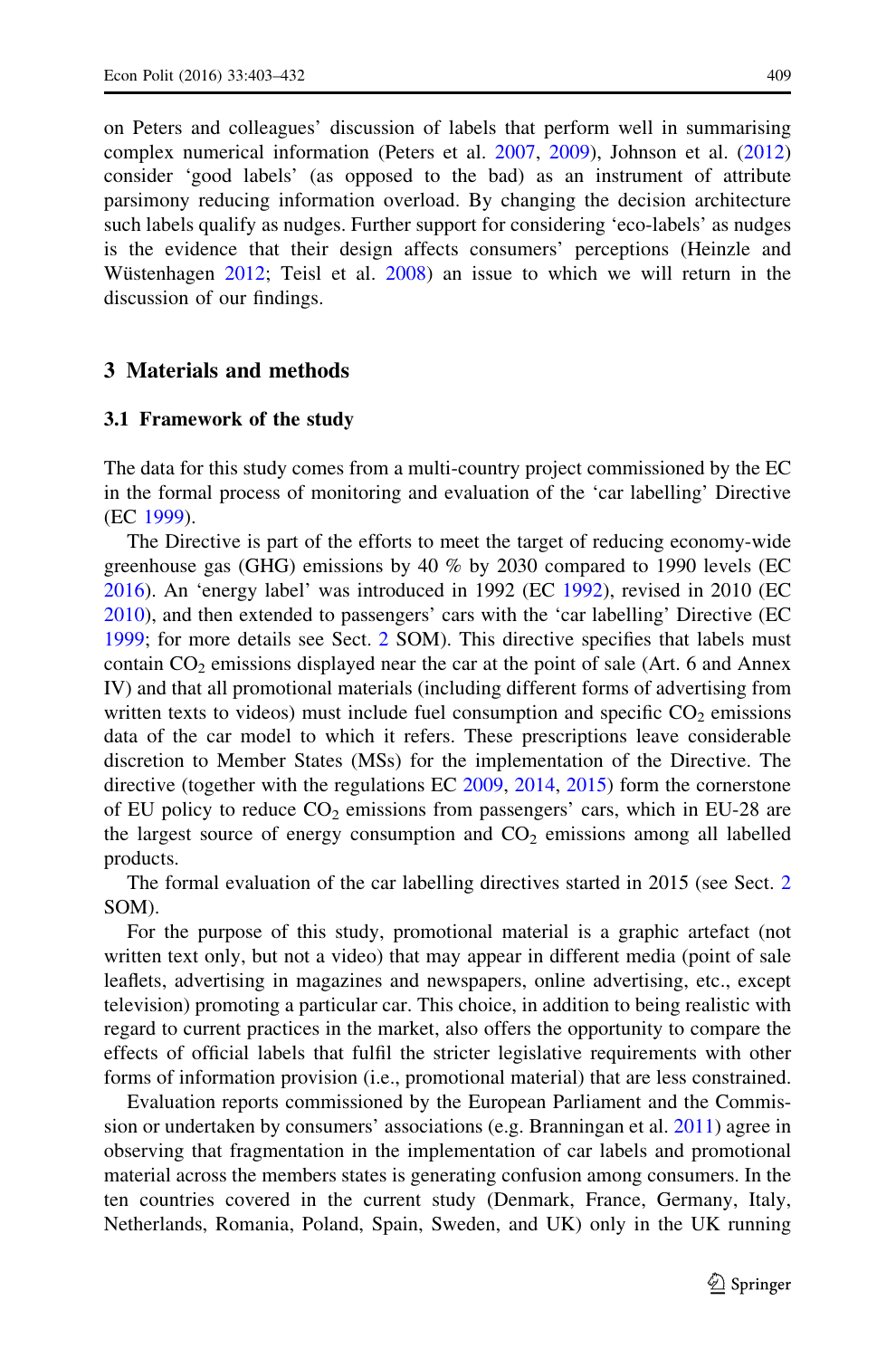<span id="page-7-0"></span>on Peters and colleagues' discussion of labels that perform well in summarising complex numerical information (Peters et al. [2007,](#page-29-0) [2009](#page-29-0)), Johnson et al. [\(2012](#page-29-0)) consider 'good labels' (as opposed to the bad) as an instrument of attribute parsimony reducing information overload. By changing the decision architecture such labels qualify as nudges. Further support for considering 'eco-labels' as nudges is the evidence that their design affects consumers' perceptions (Heinzle and Wüstenhagen [2012](#page-28-0); Teisl et al. [2008](#page-30-0)) an issue to which we will return in the discussion of our findings.

#### 3 Materials and methods

#### 3.1 Framework of the study

The data for this study comes from a multi-country project commissioned by the EC in the formal process of monitoring and evaluation of the 'car labelling' Directive (EC [1999](#page-28-0)).

The Directive is part of the efforts to meet the target of reducing economy-wide greenhouse gas (GHG) emissions by 40 % by 2030 compared to 1990 levels (EC [2016\)](#page-28-0). An 'energy label' was introduced in 1992 (EC [1992\)](#page-28-0), revised in 2010 (EC [2010\)](#page-28-0), and then extended to passengers' cars with the 'car labelling' Directive (EC [1999;](#page-28-0) for more details see Sect. [2](#page-4-0) SOM). This directive specifies that labels must contain  $CO<sub>2</sub>$  emissions displayed near the car at the point of sale (Art. 6 and Annex IV) and that all promotional materials (including different forms of advertising from written texts to videos) must include fuel consumption and specific  $CO<sub>2</sub>$  emissions data of the car model to which it refers. These prescriptions leave considerable discretion to Member States (MSs) for the implementation of the Directive. The directive (together with the regulations EC [2009](#page-28-0), [2014,](#page-28-0) [2015\)](#page-28-0) form the cornerstone of EU policy to reduce  $CO<sub>2</sub>$  emissions from passengers' cars, which in EU-28 are the largest source of energy consumption and  $CO<sub>2</sub>$  emissions among all labelled products.

The formal evaluation of the car labelling directives started in 2015 (see Sect. [2](#page-4-0) SOM).

For the purpose of this study, promotional material is a graphic artefact (not written text only, but not a video) that may appear in different media (point of sale leaflets, advertising in magazines and newspapers, online advertising, etc., except television) promoting a particular car. This choice, in addition to being realistic with regard to current practices in the market, also offers the opportunity to compare the effects of official labels that fulfil the stricter legislative requirements with other forms of information provision (i.e., promotional material) that are less constrained.

Evaluation reports commissioned by the European Parliament and the Commission or undertaken by consumers' associations (e.g. Branningan et al. [2011\)](#page-27-0) agree in observing that fragmentation in the implementation of car labels and promotional material across the members states is generating confusion among consumers. In the ten countries covered in the current study (Denmark, France, Germany, Italy, Netherlands, Romania, Poland, Spain, Sweden, and UK) only in the UK running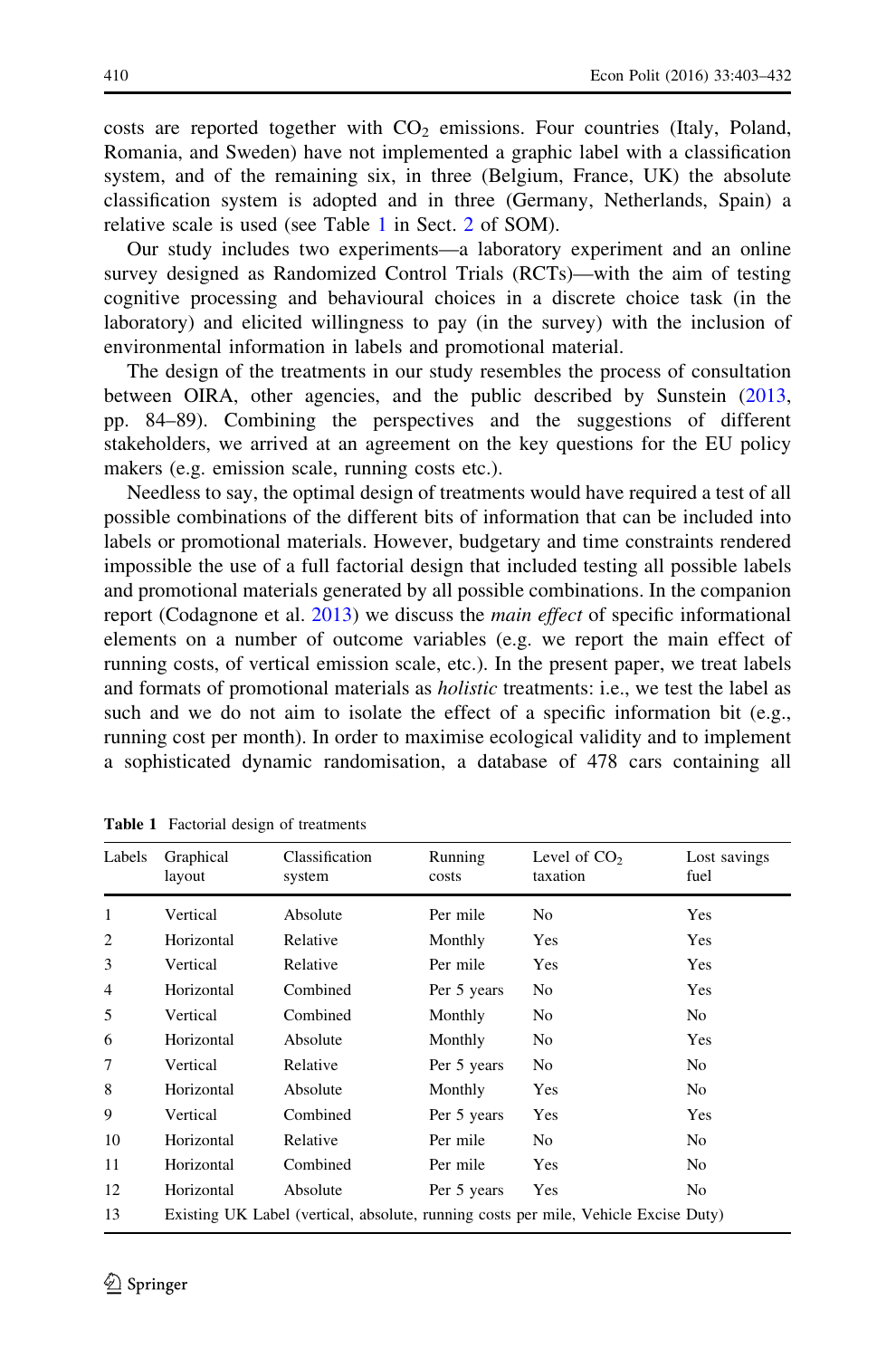<span id="page-8-0"></span>costs are reported together with  $CO<sub>2</sub>$  emissions. Four countries (Italy, Poland, Romania, and Sweden) have not implemented a graphic label with a classification system, and of the remaining six, in three (Belgium, France, UK) the absolute classification system is adopted and in three (Germany, Netherlands, Spain) a relative scale is used (see Table 1 in Sect. [2](#page-4-0) of SOM).

Our study includes two experiments—a laboratory experiment and an online survey designed as Randomized Control Trials (RCTs)—with the aim of testing cognitive processing and behavioural choices in a discrete choice task (in the laboratory) and elicited willingness to pay (in the survey) with the inclusion of environmental information in labels and promotional material.

The design of the treatments in our study resembles the process of consultation between OIRA, other agencies, and the public described by Sunstein ([2013,](#page-30-0) pp. 84–89). Combining the perspectives and the suggestions of different stakeholders, we arrived at an agreement on the key questions for the EU policy makers (e.g. emission scale, running costs etc.).

Needless to say, the optimal design of treatments would have required a test of all possible combinations of the different bits of information that can be included into labels or promotional materials. However, budgetary and time constraints rendered impossible the use of a full factorial design that included testing all possible labels and promotional materials generated by all possible combinations. In the companion report (Codagnone et al. [2013\)](#page-27-0) we discuss the *main effect* of specific informational elements on a number of outcome variables (e.g. we report the main effect of running costs, of vertical emission scale, etc.). In the present paper, we treat labels and formats of promotional materials as holistic treatments: i.e., we test the label as such and we do not aim to isolate the effect of a specific information bit (e.g., running cost per month). In order to maximise ecological validity and to implement a sophisticated dynamic randomisation, a database of 478 cars containing all

| Labels         | Graphical<br>layout                                                                 | Classification<br>system | Running<br>costs | Level of $CO2$<br>taxation | Lost savings<br>fuel |
|----------------|-------------------------------------------------------------------------------------|--------------------------|------------------|----------------------------|----------------------|
| 1              | Vertical                                                                            | Absolute                 | Per mile         | No                         | Yes                  |
| 2              | Horizontal                                                                          | Relative                 | Monthly          | Yes                        | Yes                  |
| 3              | Vertical                                                                            | Relative                 | Per mile         | Yes                        | Yes                  |
| $\overline{4}$ | Horizontal                                                                          | Combined                 | Per 5 years      | No                         | Yes                  |
| 5              | Vertical                                                                            | Combined                 | Monthly          | N <sub>0</sub>             | N <sub>0</sub>       |
| 6              | Horizontal                                                                          | Absolute                 | Monthly          | No                         | Yes                  |
| 7              | Vertical                                                                            | Relative                 | Per 5 years      | No                         | No.                  |
| 8              | Horizontal                                                                          | Absolute                 | Monthly          | Yes                        | No.                  |
| 9              | Vertical                                                                            | Combined                 | Per 5 years      | Yes                        | Yes                  |
| 10             | Horizontal                                                                          | Relative                 | Per mile         | N <sub>0</sub>             | No.                  |
| 11             | Horizontal                                                                          | Combined                 | Per mile         | Yes                        | No.                  |
| 12             | Horizontal                                                                          | Absolute                 | Per 5 years      | Yes                        | N <sub>0</sub>       |
| 13             | Existing UK Label (vertical, absolute, running costs per mile, Vehicle Excise Duty) |                          |                  |                            |                      |

Table 1 Factorial design of treatments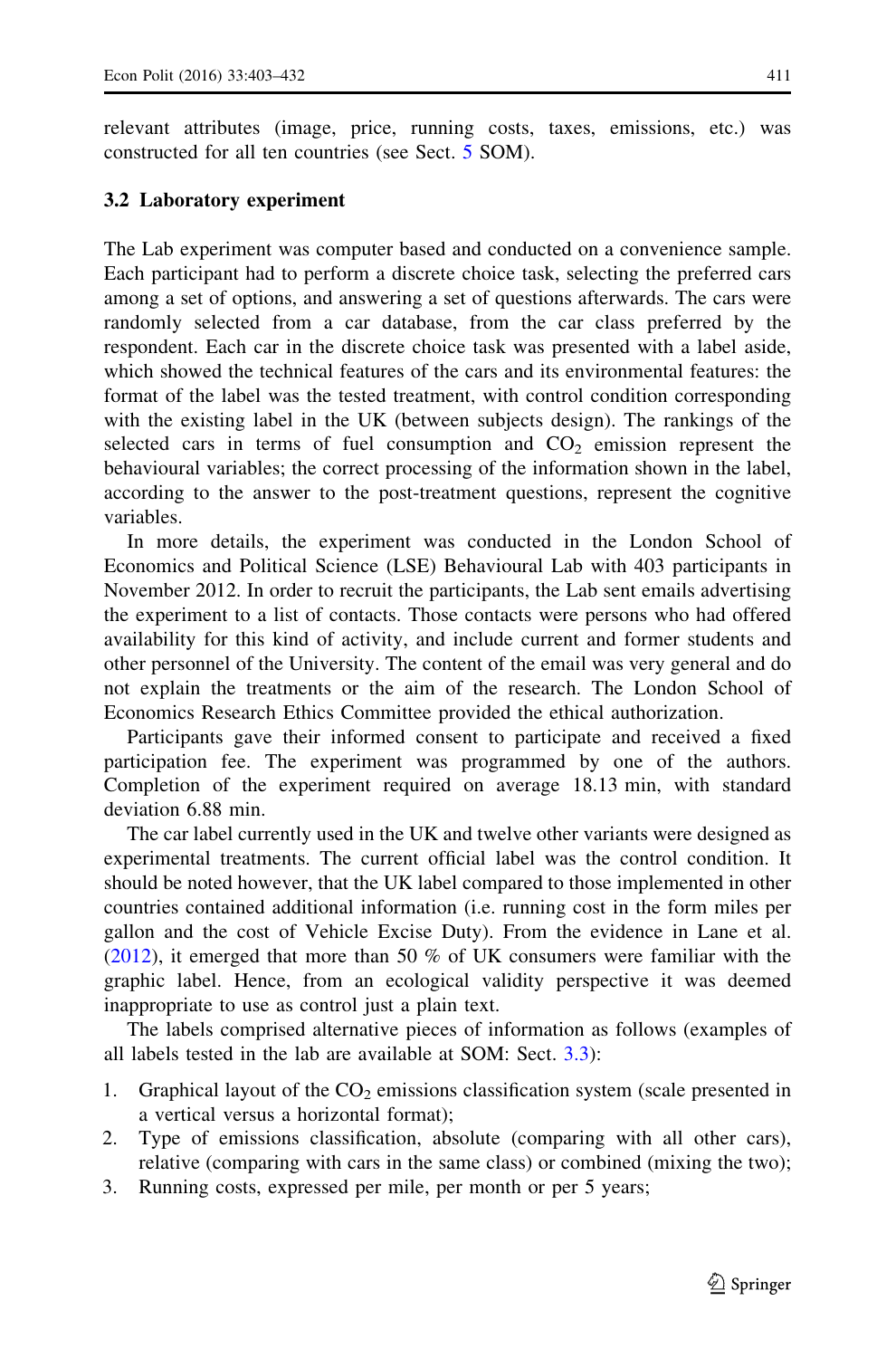<span id="page-9-0"></span>relevant attributes (image, price, running costs, taxes, emissions, etc.) was constructed for all ten countries (see Sect. [5](#page-21-0) SOM).

#### 3.2 Laboratory experiment

The Lab experiment was computer based and conducted on a convenience sample. Each participant had to perform a discrete choice task, selecting the preferred cars among a set of options, and answering a set of questions afterwards. The cars were randomly selected from a car database, from the car class preferred by the respondent. Each car in the discrete choice task was presented with a label aside, which showed the technical features of the cars and its environmental features: the format of the label was the tested treatment, with control condition corresponding with the existing label in the UK (between subjects design). The rankings of the selected cars in terms of fuel consumption and  $CO<sub>2</sub>$  emission represent the behavioural variables; the correct processing of the information shown in the label, according to the answer to the post-treatment questions, represent the cognitive variables.

In more details, the experiment was conducted in the London School of Economics and Political Science (LSE) Behavioural Lab with 403 participants in November 2012. In order to recruit the participants, the Lab sent emails advertising the experiment to a list of contacts. Those contacts were persons who had offered availability for this kind of activity, and include current and former students and other personnel of the University. The content of the email was very general and do not explain the treatments or the aim of the research. The London School of Economics Research Ethics Committee provided the ethical authorization.

Participants gave their informed consent to participate and received a fixed participation fee. The experiment was programmed by one of the authors. Completion of the experiment required on average 18.13 min, with standard deviation 6.88 min.

The car label currently used in the UK and twelve other variants were designed as experimental treatments. The current official label was the control condition. It should be noted however, that the UK label compared to those implemented in other countries contained additional information (i.e. running cost in the form miles per gallon and the cost of Vehicle Excise Duty). From the evidence in Lane et al.  $(2012)$  $(2012)$ , it emerged that more than 50 % of UK consumers were familiar with the graphic label. Hence, from an ecological validity perspective it was deemed inappropriate to use as control just a plain text.

The labels comprised alternative pieces of information as follows (examples of all labels tested in the lab are available at SOM: Sect. [3.3](#page-12-0)):

- 1. Graphical layout of the  $CO<sub>2</sub>$  emissions classification system (scale presented in a vertical versus a horizontal format);
- 2. Type of emissions classification, absolute (comparing with all other cars), relative (comparing with cars in the same class) or combined (mixing the two);
- 3. Running costs, expressed per mile, per month or per 5 years;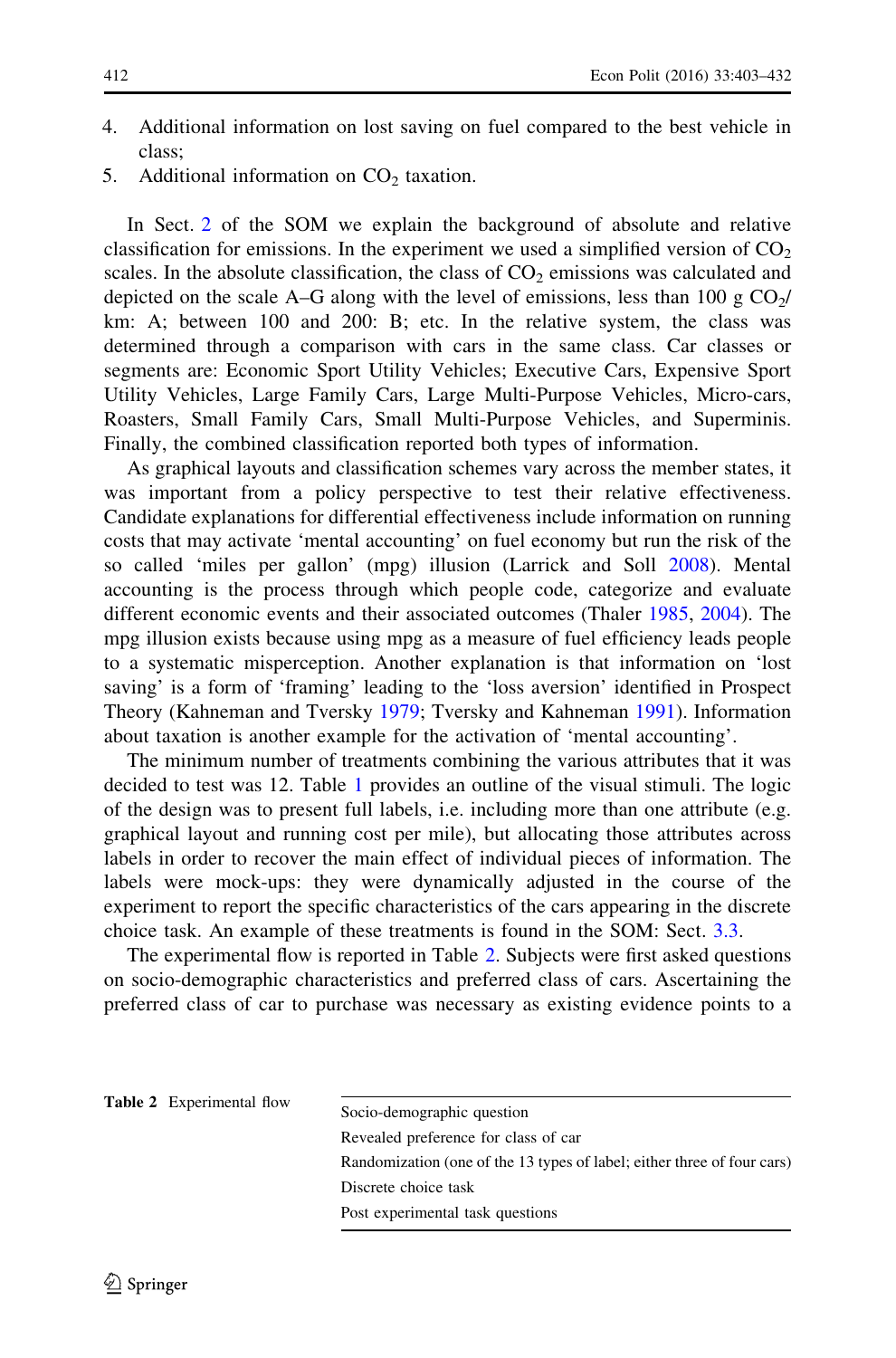- 4. Additional information on lost saving on fuel compared to the best vehicle in class;
- 5. Additional information on  $CO<sub>2</sub>$  taxation.

In Sect. [2](#page-4-0) of the SOM we explain the background of absolute and relative classification for emissions. In the experiment we used a simplified version of  $CO<sub>2</sub>$ scales. In the absolute classification, the class of  $CO<sub>2</sub>$  emissions was calculated and depicted on the scale A–G along with the level of emissions, less than 100 g  $CO<sub>2</sub>/$ km: A; between 100 and 200: B; etc. In the relative system, the class was determined through a comparison with cars in the same class. Car classes or segments are: Economic Sport Utility Vehicles; Executive Cars, Expensive Sport Utility Vehicles, Large Family Cars, Large Multi-Purpose Vehicles, Micro-cars, Roasters, Small Family Cars, Small Multi-Purpose Vehicles, and Superminis. Finally, the combined classification reported both types of information.

As graphical layouts and classification schemes vary across the member states, it was important from a policy perspective to test their relative effectiveness. Candidate explanations for differential effectiveness include information on running costs that may activate 'mental accounting' on fuel economy but run the risk of the so called 'miles per gallon' (mpg) illusion (Larrick and Soll [2008](#page-29-0)). Mental accounting is the process through which people code, categorize and evaluate different economic events and their associated outcomes (Thaler [1985](#page-30-0), [2004\)](#page-30-0). The mpg illusion exists because using mpg as a measure of fuel efficiency leads people to a systematic misperception. Another explanation is that information on 'lost saving' is a form of 'framing' leading to the 'loss aversion' identified in Prospect Theory (Kahneman and Tversky [1979](#page-29-0); Tversky and Kahneman [1991\)](#page-30-0). Information about taxation is another example for the activation of 'mental accounting'.

The minimum number of treatments combining the various attributes that it was decided to test was 12. Table [1](#page-8-0) provides an outline of the visual stimuli. The logic of the design was to present full labels, i.e. including more than one attribute (e.g. graphical layout and running cost per mile), but allocating those attributes across labels in order to recover the main effect of individual pieces of information. The labels were mock-ups: they were dynamically adjusted in the course of the experiment to report the specific characteristics of the cars appearing in the discrete choice task. An example of these treatments is found in the SOM: Sect. [3.3](#page-12-0).

The experimental flow is reported in Table 2. Subjects were first asked questions on socio-demographic characteristics and preferred class of cars. Ascertaining the preferred class of car to purchase was necessary as existing evidence points to a

| <b>Table 2</b> Experimental flow |                                                                         | Socio-demographic question           |
|----------------------------------|-------------------------------------------------------------------------|--------------------------------------|
|                                  |                                                                         | Revealed preference for class of car |
|                                  | Randomization (one of the 13 types of label; either three of four cars) |                                      |
|                                  |                                                                         | Discrete choice task                 |
|                                  |                                                                         | Post experimental task questions     |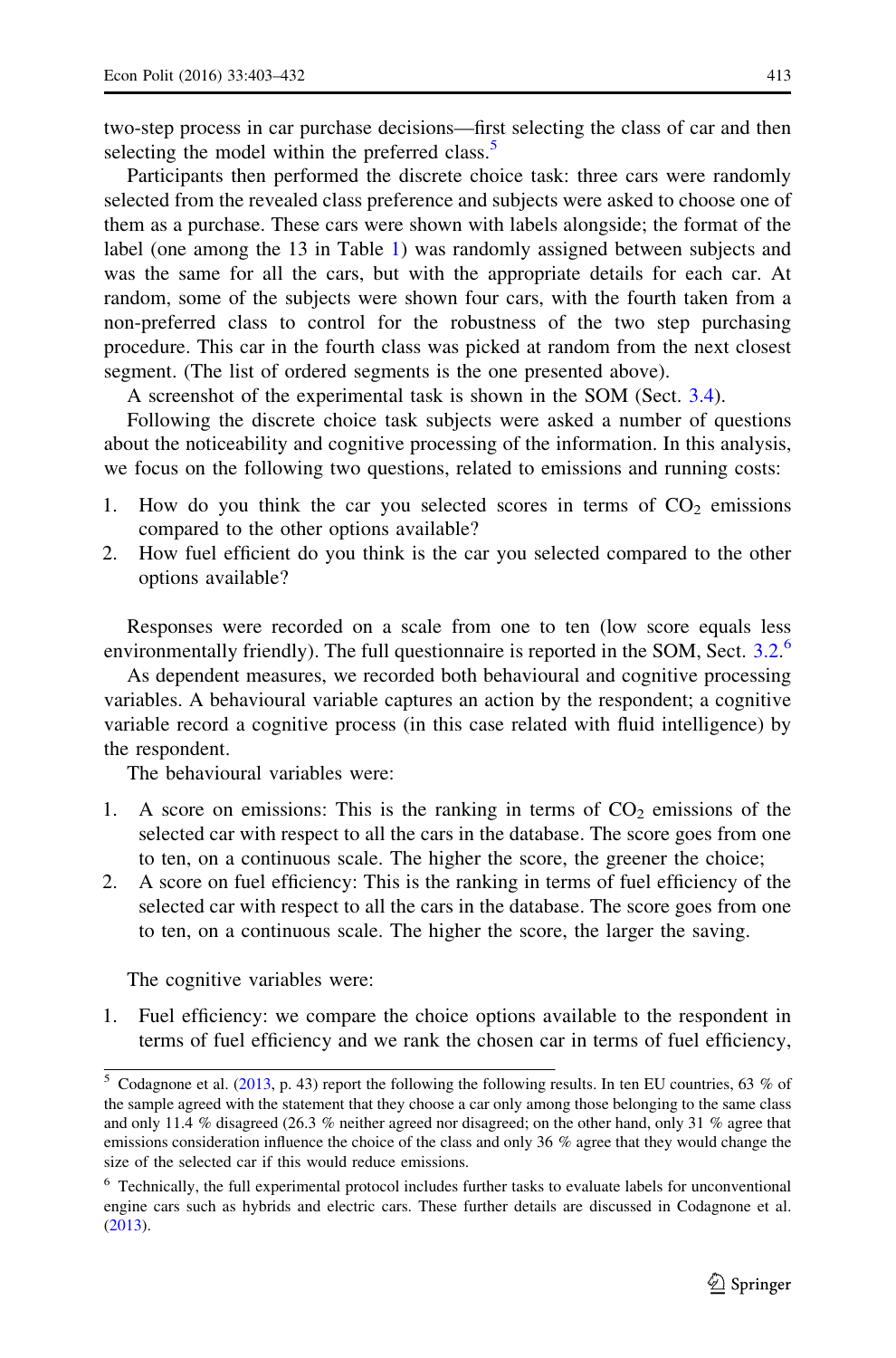two-step process in car purchase decisions—first selecting the class of car and then selecting the model within the preferred class.<sup>5</sup>

Participants then performed the discrete choice task: three cars were randomly selected from the revealed class preference and subjects were asked to choose one of them as a purchase. These cars were shown with labels alongside; the format of the label (one among the 13 in Table [1\)](#page-8-0) was randomly assigned between subjects and was the same for all the cars, but with the appropriate details for each car. At random, some of the subjects were shown four cars, with the fourth taken from a non-preferred class to control for the robustness of the two step purchasing procedure. This car in the fourth class was picked at random from the next closest segment. (The list of ordered segments is the one presented above).

A screenshot of the experimental task is shown in the SOM (Sect. [3.4](#page-15-0)).

Following the discrete choice task subjects were asked a number of questions about the noticeability and cognitive processing of the information. In this analysis, we focus on the following two questions, related to emissions and running costs:

- 1. How do you think the car you selected scores in terms of  $CO<sub>2</sub>$  emissions compared to the other options available?
- 2. How fuel efficient do you think is the car you selected compared to the other options available?

Responses were recorded on a scale from one to ten (low score equals less environmentally friendly). The full questionnaire is reported in the SOM, Sect. [3.2](#page-9-0).<sup>6</sup>

As dependent measures, we recorded both behavioural and cognitive processing variables. A behavioural variable captures an action by the respondent; a cognitive variable record a cognitive process (in this case related with fluid intelligence) by the respondent.

The behavioural variables were:

- 1. A score on emissions: This is the ranking in terms of  $CO<sub>2</sub>$  emissions of the selected car with respect to all the cars in the database. The score goes from one to ten, on a continuous scale. The higher the score, the greener the choice;
- 2. A score on fuel efficiency: This is the ranking in terms of fuel efficiency of the selected car with respect to all the cars in the database. The score goes from one to ten, on a continuous scale. The higher the score, the larger the saving.

The cognitive variables were:

1. Fuel efficiency: we compare the choice options available to the respondent in terms of fuel efficiency and we rank the chosen car in terms of fuel efficiency,

 $5$  Codagnone et al. [\(2013](#page-27-0), p. 43) report the following the following results. In ten EU countries, 63 % of the sample agreed with the statement that they choose a car only among those belonging to the same class and only 11.4 % disagreed (26.3 % neither agreed nor disagreed; on the other hand, only 31 % agree that emissions consideration influence the choice of the class and only 36 % agree that they would change the size of the selected car if this would reduce emissions.

<sup>6</sup> Technically, the full experimental protocol includes further tasks to evaluate labels for unconventional engine cars such as hybrids and electric cars. These further details are discussed in Codagnone et al. ([2013\)](#page-27-0).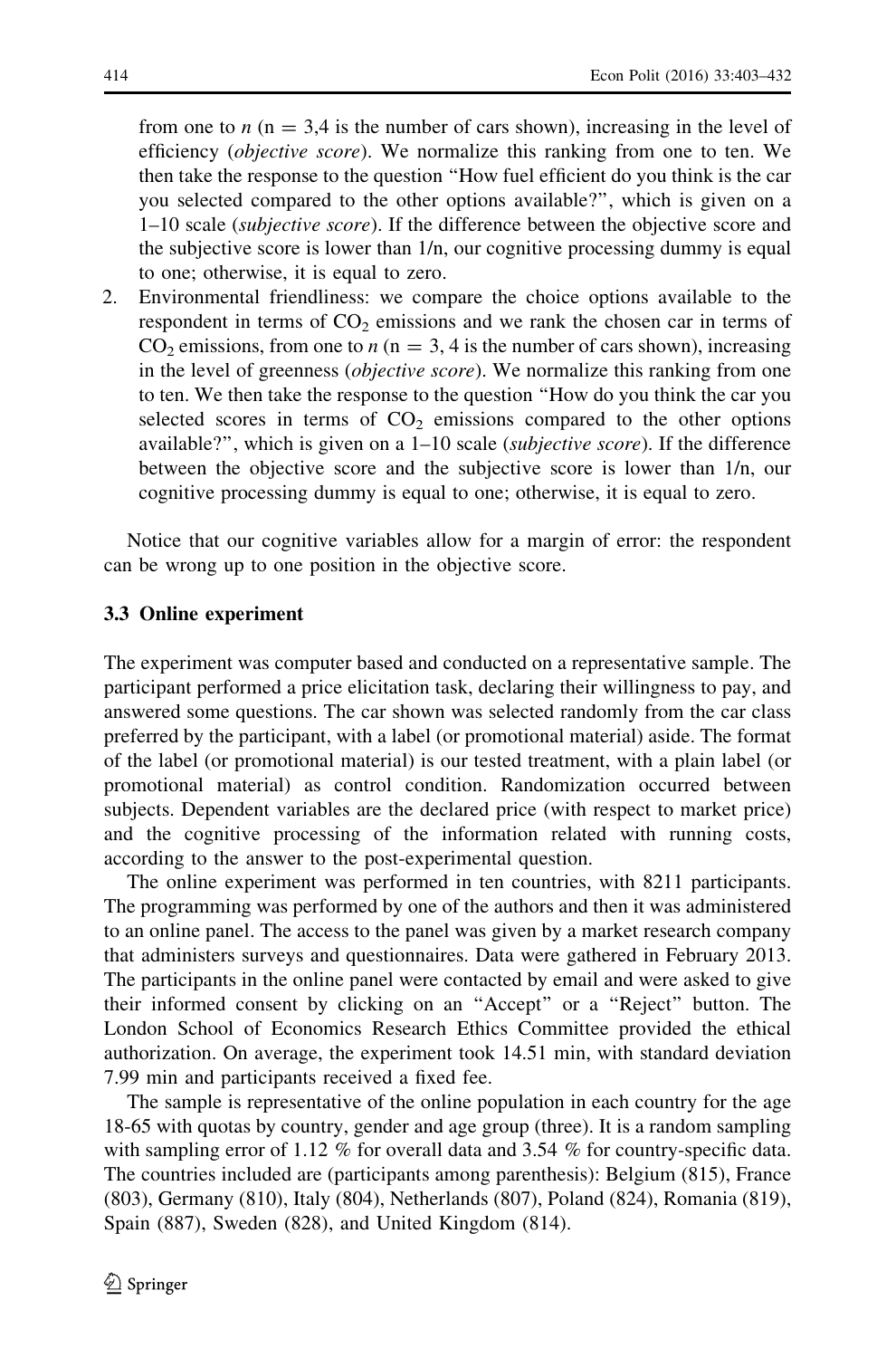<span id="page-12-0"></span>from one to n ( $n = 3.4$  is the number of cars shown), increasing in the level of efficiency (objective score). We normalize this ranking from one to ten. We then take the response to the question ''How fuel efficient do you think is the car you selected compared to the other options available?'', which is given on a 1–10 scale (subjective score). If the difference between the objective score and the subjective score is lower than 1/n, our cognitive processing dummy is equal to one; otherwise, it is equal to zero.

2. Environmental friendliness: we compare the choice options available to the respondent in terms of  $CO<sub>2</sub>$  emissions and we rank the chosen car in terms of  $CO<sub>2</sub>$  emissions, from one to  $n (n = 3, 4)$  is the number of cars shown), increasing in the level of greenness *(objective score)*. We normalize this ranking from one to ten. We then take the response to the question ''How do you think the car you selected scores in terms of  $CO<sub>2</sub>$  emissions compared to the other options available?'', which is given on a 1–10 scale (subjective score). If the difference between the objective score and the subjective score is lower than 1/n, our cognitive processing dummy is equal to one; otherwise, it is equal to zero.

Notice that our cognitive variables allow for a margin of error: the respondent can be wrong up to one position in the objective score.

#### 3.3 Online experiment

The experiment was computer based and conducted on a representative sample. The participant performed a price elicitation task, declaring their willingness to pay, and answered some questions. The car shown was selected randomly from the car class preferred by the participant, with a label (or promotional material) aside. The format of the label (or promotional material) is our tested treatment, with a plain label (or promotional material) as control condition. Randomization occurred between subjects. Dependent variables are the declared price (with respect to market price) and the cognitive processing of the information related with running costs, according to the answer to the post-experimental question.

The online experiment was performed in ten countries, with 8211 participants. The programming was performed by one of the authors and then it was administered to an online panel. The access to the panel was given by a market research company that administers surveys and questionnaires. Data were gathered in February 2013. The participants in the online panel were contacted by email and were asked to give their informed consent by clicking on an ''Accept'' or a ''Reject'' button. The London School of Economics Research Ethics Committee provided the ethical authorization. On average, the experiment took 14.51 min, with standard deviation 7.99 min and participants received a fixed fee.

The sample is representative of the online population in each country for the age 18-65 with quotas by country, gender and age group (three). It is a random sampling with sampling error of 1.12 % for overall data and 3.54 % for country-specific data. The countries included are (participants among parenthesis): Belgium (815), France (803), Germany (810), Italy (804), Netherlands (807), Poland (824), Romania (819), Spain (887), Sweden (828), and United Kingdom (814).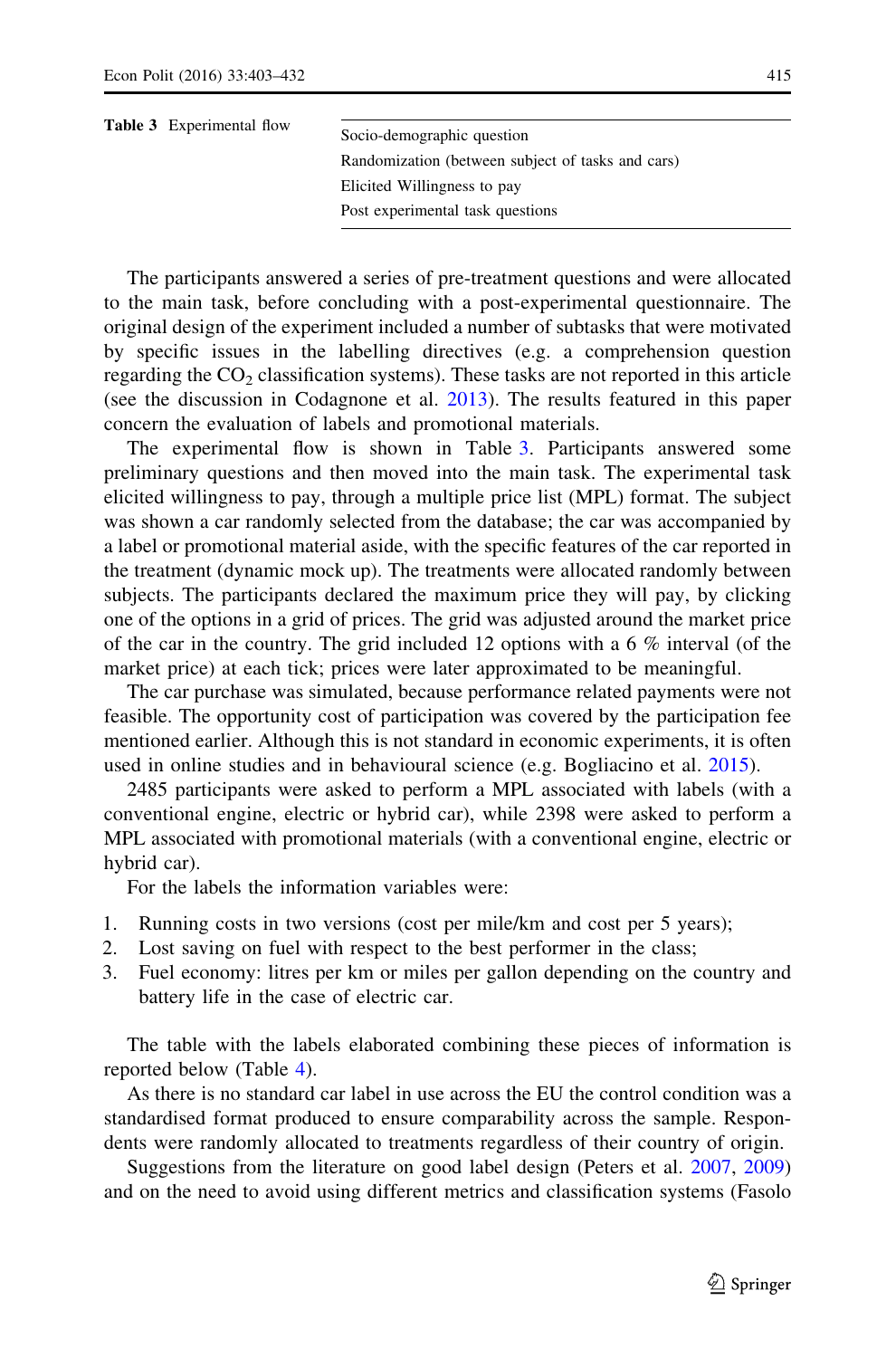| <b>Table 3</b> Experimental flow | Socio-demographic question                        |
|----------------------------------|---------------------------------------------------|
|                                  | Randomization (between subject of tasks and cars) |
|                                  | Elicited Willingness to pay                       |
|                                  | Post experimental task questions                  |

The participants answered a series of pre-treatment questions and were allocated to the main task, before concluding with a post-experimental questionnaire. The original design of the experiment included a number of subtasks that were motivated by specific issues in the labelling directives (e.g. a comprehension question regarding the  $CO<sub>2</sub>$  classification systems). These tasks are not reported in this article (see the discussion in Codagnone et al. [2013](#page-27-0)). The results featured in this paper concern the evaluation of labels and promotional materials.

The experimental flow is shown in Table 3. Participants answered some preliminary questions and then moved into the main task. The experimental task elicited willingness to pay, through a multiple price list (MPL) format. The subject was shown a car randomly selected from the database; the car was accompanied by a label or promotional material aside, with the specific features of the car reported in the treatment (dynamic mock up). The treatments were allocated randomly between subjects. The participants declared the maximum price they will pay, by clicking one of the options in a grid of prices. The grid was adjusted around the market price of the car in the country. The grid included 12 options with a 6  $\%$  interval (of the market price) at each tick; prices were later approximated to be meaningful.

The car purchase was simulated, because performance related payments were not feasible. The opportunity cost of participation was covered by the participation fee mentioned earlier. Although this is not standard in economic experiments, it is often used in online studies and in behavioural science (e.g. Bogliacino et al. [2015\)](#page-27-0).

2485 participants were asked to perform a MPL associated with labels (with a conventional engine, electric or hybrid car), while 2398 were asked to perform a MPL associated with promotional materials (with a conventional engine, electric or hybrid car).

For the labels the information variables were:

- 1. Running costs in two versions (cost per mile/km and cost per 5 years);
- 2. Lost saving on fuel with respect to the best performer in the class;
- 3. Fuel economy: litres per km or miles per gallon depending on the country and battery life in the case of electric car.

The table with the labels elaborated combining these pieces of information is reported below (Table [4\)](#page-14-0).

As there is no standard car label in use across the EU the control condition was a standardised format produced to ensure comparability across the sample. Respondents were randomly allocated to treatments regardless of their country of origin.

Suggestions from the literature on good label design (Peters et al. [2007,](#page-29-0) [2009](#page-29-0)) and on the need to avoid using different metrics and classification systems (Fasolo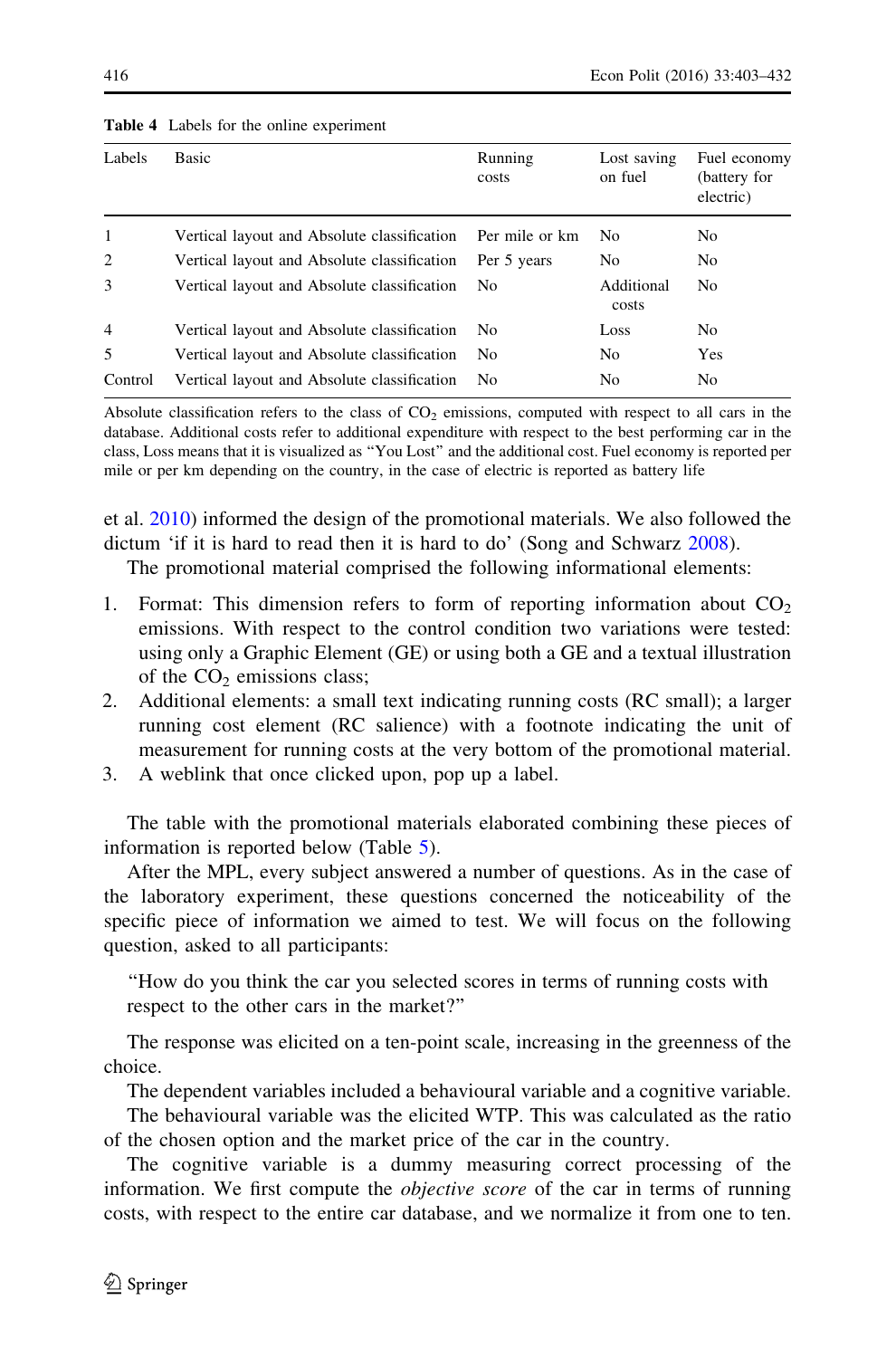| Labels         | Basic                                       | Running<br>costs | Lost saving<br>on fuel | Fuel economy<br>(battery for<br>electric) |
|----------------|---------------------------------------------|------------------|------------------------|-------------------------------------------|
| 1              | Vertical layout and Absolute classification | Per mile or km   | N <sub>0</sub>         | No.                                       |
| 2              | Vertical layout and Absolute classification | Per 5 years      | No                     | No.                                       |
| 3              | Vertical layout and Absolute classification | No.              | Additional<br>costs    | No.                                       |
| $\overline{4}$ | Vertical layout and Absolute classification | No.              | Loss                   | No.                                       |
| 5              | Vertical layout and Absolute classification | No               | N <sub>0</sub>         | Yes                                       |
| Control        | Vertical layout and Absolute classification | No               | No                     | N <sub>0</sub>                            |

#### <span id="page-14-0"></span>Table 4 Labels for the online experiment

Absolute classification refers to the class of  $CO<sub>2</sub>$  emissions, computed with respect to all cars in the database. Additional costs refer to additional expenditure with respect to the best performing car in the class, Loss means that it is visualized as ''You Lost'' and the additional cost. Fuel economy is reported per mile or per km depending on the country, in the case of electric is reported as battery life

et al. [2010](#page-28-0)) informed the design of the promotional materials. We also followed the dictum 'if it is hard to read then it is hard to do' (Song and Schwarz [2008\)](#page-30-0).

The promotional material comprised the following informational elements:

- 1. Format: This dimension refers to form of reporting information about  $CO<sub>2</sub>$ emissions. With respect to the control condition two variations were tested: using only a Graphic Element (GE) or using both a GE and a textual illustration of the  $CO<sub>2</sub>$  emissions class;
- 2. Additional elements: a small text indicating running costs (RC small); a larger running cost element (RC salience) with a footnote indicating the unit of measurement for running costs at the very bottom of the promotional material.
- 3. A weblink that once clicked upon, pop up a label.

The table with the promotional materials elaborated combining these pieces of information is reported below (Table [5\)](#page-15-0).

After the MPL, every subject answered a number of questions. As in the case of the laboratory experiment, these questions concerned the noticeability of the specific piece of information we aimed to test. We will focus on the following question, asked to all participants:

''How do you think the car you selected scores in terms of running costs with respect to the other cars in the market?''

The response was elicited on a ten-point scale, increasing in the greenness of the choice.

The dependent variables included a behavioural variable and a cognitive variable.

The behavioural variable was the elicited WTP. This was calculated as the ratio of the chosen option and the market price of the car in the country.

The cognitive variable is a dummy measuring correct processing of the information. We first compute the *objective score* of the car in terms of running costs, with respect to the entire car database, and we normalize it from one to ten.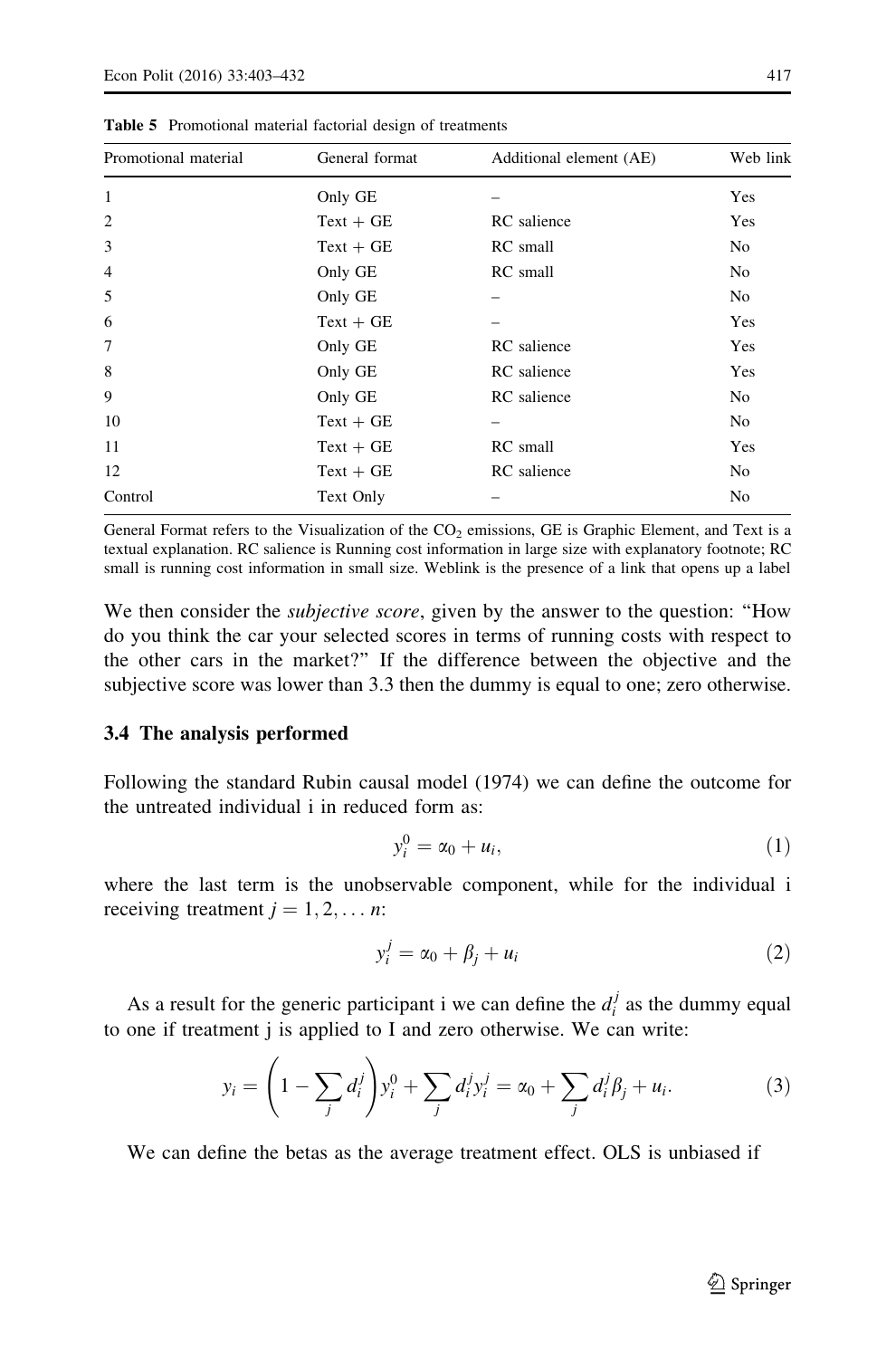| Promotional material | General format | Additional element (AE) | Web link       |
|----------------------|----------------|-------------------------|----------------|
| 1                    | Only GE        |                         | Yes            |
| $\overline{2}$       | $Text + GE$    | RC salience             | Yes            |
| 3                    | $Text + GE$    | RC small                | N <sub>0</sub> |
| $\overline{4}$       | Only GE        | RC small                | N <sub>o</sub> |
| 5                    | Only GE        |                         | No             |
| 6                    | $Text + GE$    |                         | Yes            |
| 7                    | Only GE        | RC salience             | Yes            |
| 8                    | Only GE        | RC salience             | Yes            |
| 9                    | Only GE        | RC salience             | No             |
| 10                   | $Text + GE$    |                         | N <sub>o</sub> |
| 11                   | $Text + GE$    | RC small                | Yes            |
| 12                   | $Text + GE$    | RC salience             | N <sub>0</sub> |
| Control              | Text Only      |                         | No             |

<span id="page-15-0"></span>Table 5 Promotional material factorial design of treatments

General Format refers to the Visualization of the  $CO<sub>2</sub>$  emissions, GE is Graphic Element, and Text is a textual explanation. RC salience is Running cost information in large size with explanatory footnote; RC small is running cost information in small size. Weblink is the presence of a link that opens up a label

We then consider the *subjective score*, given by the answer to the question: "How do you think the car your selected scores in terms of running costs with respect to the other cars in the market?'' If the difference between the objective and the subjective score was lower than 3.3 then the dummy is equal to one; zero otherwise.

#### 3.4 The analysis performed

Following the standard Rubin causal model (1974) we can define the outcome for the untreated individual i in reduced form as:

$$
y_i^0 = \alpha_0 + u_i,\tag{1}
$$

where the last term is the unobservable component, while for the individual i receiving treatment  $j = 1, 2, \dots n$ :

$$
y_i^j = \alpha_0 + \beta_j + u_i \tag{2}
$$

As a result for the generic participant i we can define the  $d_i^j$  as the dummy equal to one if treatment j is applied to I and zero otherwise. We can write:

$$
y_i = \left(1 - \sum_j d_i^j\right) y_i^0 + \sum_j d_i^j y_i^j = \alpha_0 + \sum_j d_i^j \beta_j + u_i.
$$
 (3)

We can define the betas as the average treatment effect. OLS is unbiased if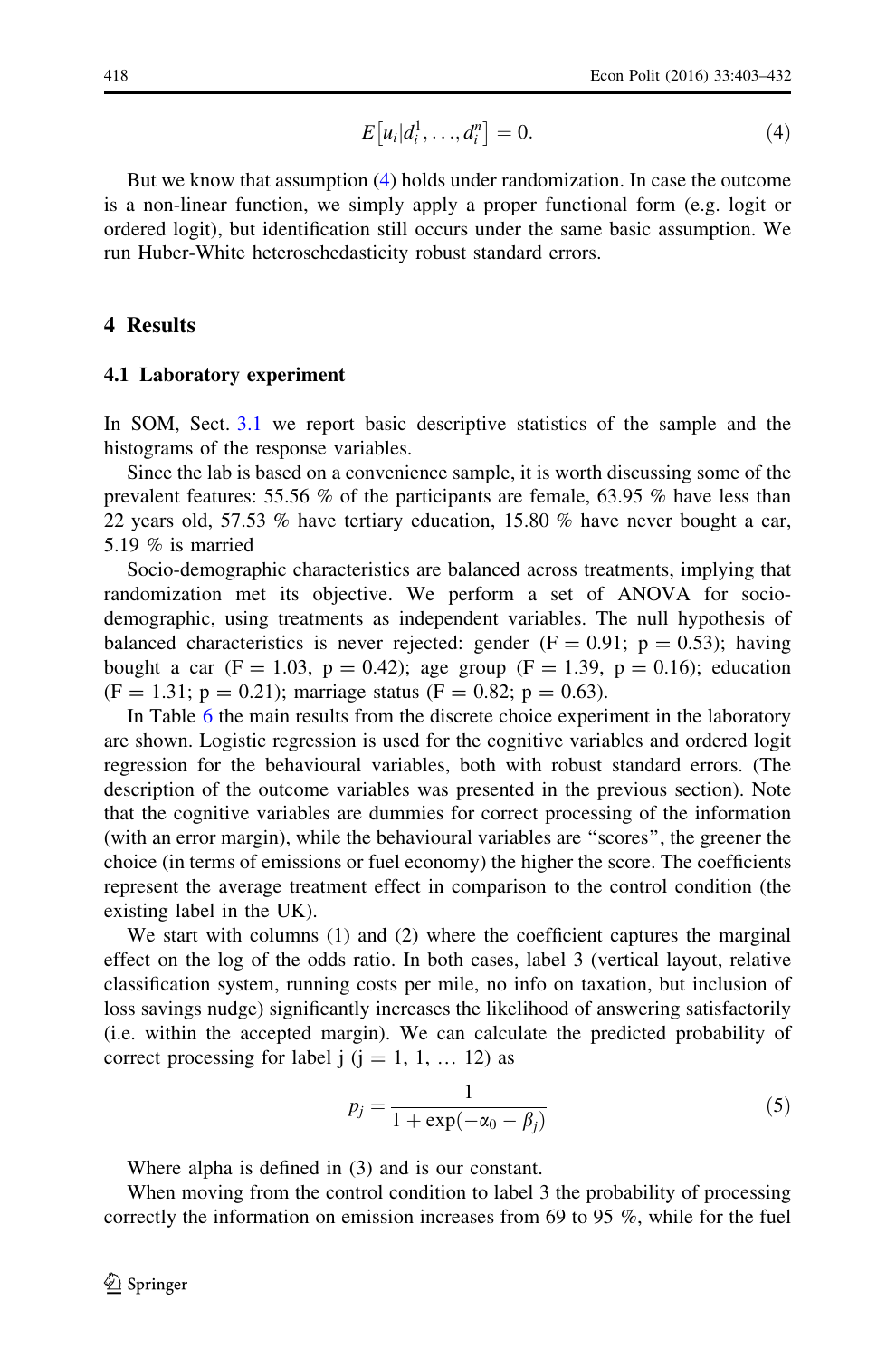$$
E[u_i|d_i^1,\ldots,d_i^n] = 0.
$$
\n<sup>(4)</sup>

<span id="page-16-0"></span>But we know that assumption [\(4](#page-15-0)) holds under randomization. In case the outcome is a non-linear function, we simply apply a proper functional form (e.g. logit or ordered logit), but identification still occurs under the same basic assumption. We run Huber-White heteroschedasticity robust standard errors.

#### 4 Results

#### 4.1 Laboratory experiment

In SOM, Sect. [3.1](#page-7-0) we report basic descriptive statistics of the sample and the histograms of the response variables.

Since the lab is based on a convenience sample, it is worth discussing some of the prevalent features: 55.56 % of the participants are female, 63.95 % have less than 22 years old, 57.53 % have tertiary education, 15.80 % have never bought a car, 5.19 % is married

Socio-demographic characteristics are balanced across treatments, implying that randomization met its objective. We perform a set of ANOVA for sociodemographic, using treatments as independent variables. The null hypothesis of balanced characteristics is never rejected: gender ( $F = 0.91$ ;  $p = 0.53$ ); having bought a car (F = 1.03, p = 0.42); age group (F = 1.39, p = 0.16); education  $(F = 1.31; p = 0.21)$ ; marriage status  $(F = 0.82; p = 0.63)$ .

In Table [6](#page-17-0) the main results from the discrete choice experiment in the laboratory are shown. Logistic regression is used for the cognitive variables and ordered logit regression for the behavioural variables, both with robust standard errors. (The description of the outcome variables was presented in the previous section). Note that the cognitive variables are dummies for correct processing of the information (with an error margin), while the behavioural variables are ''scores'', the greener the choice (in terms of emissions or fuel economy) the higher the score. The coefficients represent the average treatment effect in comparison to the control condition (the existing label in the UK).

We start with columns (1) and (2) where the coefficient captures the marginal effect on the log of the odds ratio. In both cases, label 3 (vertical layout, relative classification system, running costs per mile, no info on taxation, but inclusion of loss savings nudge) significantly increases the likelihood of answering satisfactorily (i.e. within the accepted margin). We can calculate the predicted probability of correct processing for label  $j$  ( $j = 1, 1, ... 12$ ) as

$$
p_j = \frac{1}{1 + \exp(-\alpha_0 - \beta_j)}
$$
(5)

Where alpha is defined in (3) and is our constant.

When moving from the control condition to label 3 the probability of processing correctly the information on emission increases from 69 to 95 %, while for the fuel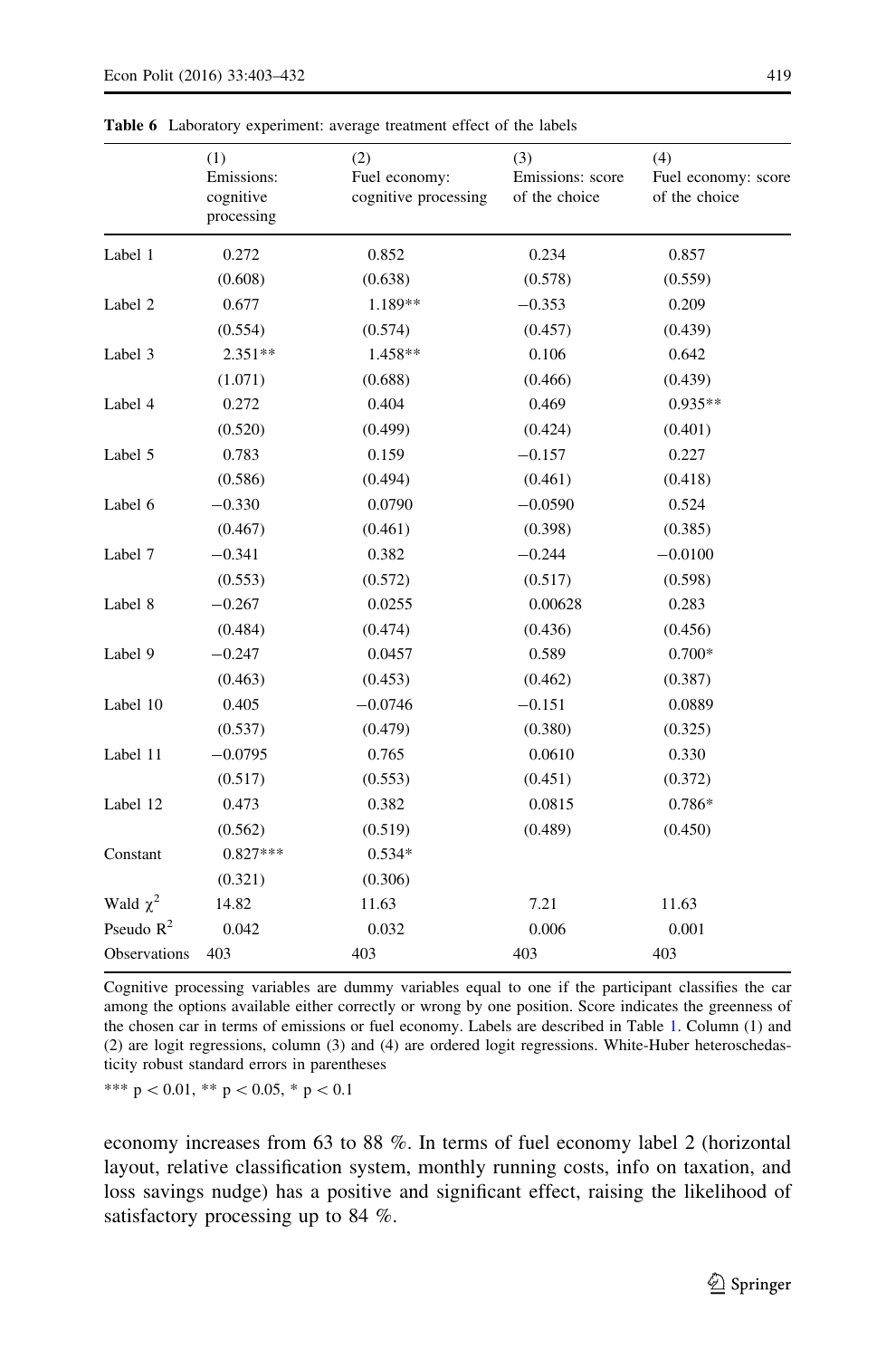| (3)<br>(4)<br>(1)<br>(2)<br>Emissions:<br>Fuel economy:<br>Emissions: score<br>Fuel economy: score<br>cognitive processing<br>cognitive<br>of the choice<br>of the choice<br>processing |  |
|-----------------------------------------------------------------------------------------------------------------------------------------------------------------------------------------|--|
|                                                                                                                                                                                         |  |
| Label 1<br>0.272<br>0.852<br>0.234<br>0.857                                                                                                                                             |  |
| (0.608)<br>(0.638)<br>(0.578)<br>(0.559)                                                                                                                                                |  |
| 0.677<br>1.189**<br>$-0.353$<br>Label 2<br>0.209                                                                                                                                        |  |
| (0.554)<br>(0.574)<br>(0.457)<br>(0.439)                                                                                                                                                |  |
| $2.351**$<br>1.458**<br>0.106<br>0.642<br>Label 3                                                                                                                                       |  |
| (1.071)<br>(0.688)<br>(0.466)<br>(0.439)                                                                                                                                                |  |
| 0.272<br>0.404<br>$0.935**$<br>Label 4<br>0.469                                                                                                                                         |  |
| (0.520)<br>(0.499)<br>(0.424)<br>(0.401)                                                                                                                                                |  |
| 0.783<br>0.159<br>Label 5<br>$-0.157$<br>0.227                                                                                                                                          |  |
| (0.586)<br>(0.494)<br>(0.461)<br>(0.418)                                                                                                                                                |  |
| Label 6<br>$-0.330$<br>0.0790<br>$-0.0590$<br>0.524                                                                                                                                     |  |
| (0.467)<br>(0.385)<br>(0.461)<br>(0.398)                                                                                                                                                |  |
| Label 7<br>$-0.341$<br>0.382<br>$-0.244$<br>$-0.0100$                                                                                                                                   |  |
| (0.553)<br>(0.572)<br>(0.517)<br>(0.598)                                                                                                                                                |  |
| Label 8<br>$-0.267$<br>0.0255<br>0.00628<br>0.283                                                                                                                                       |  |
| (0.484)<br>(0.474)<br>(0.436)<br>(0.456)                                                                                                                                                |  |
| Label 9<br>$-0.247$<br>0.0457<br>0.589<br>$0.700*$                                                                                                                                      |  |
| (0.463)<br>(0.462)<br>(0.453)<br>(0.387)                                                                                                                                                |  |
| 0.405<br>Label 10<br>$-0.0746$<br>$-0.151$<br>0.0889                                                                                                                                    |  |
| (0.537)<br>(0.479)<br>(0.380)<br>(0.325)                                                                                                                                                |  |
| $-0.0795$<br>0.765<br>0.0610<br>0.330<br>Label 11                                                                                                                                       |  |
| (0.517)<br>(0.553)<br>(0.451)<br>(0.372)                                                                                                                                                |  |
| 0.473<br>0.382<br>Label 12<br>0.0815<br>0.786*                                                                                                                                          |  |
| (0.562)<br>(0.519)<br>(0.489)<br>(0.450)                                                                                                                                                |  |
| Constant<br>$0.827***$<br>$0.534*$                                                                                                                                                      |  |
| (0.321)<br>(0.306)                                                                                                                                                                      |  |
| Wald $\chi^2$<br>14.82<br>7.21<br>11.63<br>11.63                                                                                                                                        |  |
| Pseudo $R^2$<br>0.042<br>0.006<br>0.001<br>0.032                                                                                                                                        |  |
| Observations<br>403<br>403<br>403<br>403                                                                                                                                                |  |

<span id="page-17-0"></span>Table 6 Laboratory experiment: average treatment effect of the labels

Cognitive processing variables are dummy variables equal to one if the participant classifies the car among the options available either correctly or wrong by one position. Score indicates the greenness of the chosen car in terms of emissions or fuel economy. Labels are described in Table [1](#page-8-0). Column (1) and (2) are logit regressions, column (3) and (4) are ordered logit regressions. White-Huber heteroschedasticity robust standard errors in parentheses

\*\*\*  $p < 0.01$ , \*\*  $p < 0.05$ , \*  $p < 0.1$ 

economy increases from 63 to 88 %. In terms of fuel economy label 2 (horizontal layout, relative classification system, monthly running costs, info on taxation, and loss savings nudge) has a positive and significant effect, raising the likelihood of satisfactory processing up to 84 %.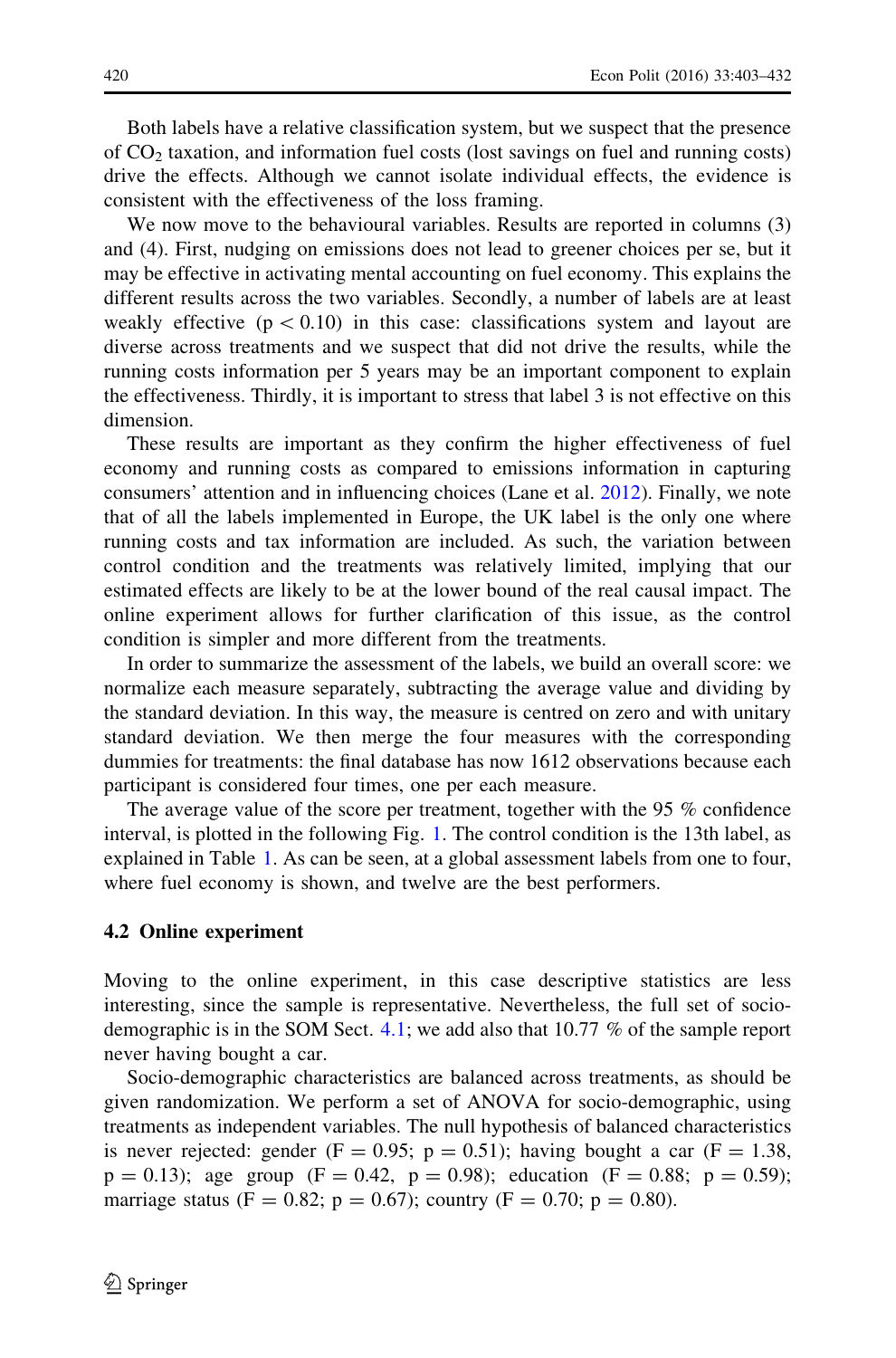Both labels have a relative classification system, but we suspect that the presence of  $CO<sub>2</sub>$  taxation, and information fuel costs (lost savings on fuel and running costs) drive the effects. Although we cannot isolate individual effects, the evidence is consistent with the effectiveness of the loss framing.

We now move to the behavioural variables. Results are reported in columns (3) and (4). First, nudging on emissions does not lead to greener choices per se, but it may be effective in activating mental accounting on fuel economy. This explains the different results across the two variables. Secondly, a number of labels are at least weakly effective ( $p \lt 0.10$ ) in this case: classifications system and layout are diverse across treatments and we suspect that did not drive the results, while the running costs information per 5 years may be an important component to explain the effectiveness. Thirdly, it is important to stress that label 3 is not effective on this dimension.

These results are important as they confirm the higher effectiveness of fuel economy and running costs as compared to emissions information in capturing consumers' attention and in influencing choices (Lane et al. [2012\)](#page-29-0). Finally, we note that of all the labels implemented in Europe, the UK label is the only one where running costs and tax information are included. As such, the variation between control condition and the treatments was relatively limited, implying that our estimated effects are likely to be at the lower bound of the real causal impact. The online experiment allows for further clarification of this issue, as the control condition is simpler and more different from the treatments.

In order to summarize the assessment of the labels, we build an overall score: we normalize each measure separately, subtracting the average value and dividing by the standard deviation. In this way, the measure is centred on zero and with unitary standard deviation. We then merge the four measures with the corresponding dummies for treatments: the final database has now 1612 observations because each participant is considered four times, one per each measure.

The average value of the score per treatment, together with the 95 % confidence interval, is plotted in the following Fig. [1.](#page-19-0) The control condition is the 13th label, as explained in Table [1.](#page-8-0) As can be seen, at a global assessment labels from one to four, where fuel economy is shown, and twelve are the best performers.

#### 4.2 Online experiment

Moving to the online experiment, in this case descriptive statistics are less interesting, since the sample is representative. Nevertheless, the full set of sociodemographic is in the SOM Sect. [4.1](#page-16-0); we add also that 10.77 % of the sample report never having bought a car.

Socio-demographic characteristics are balanced across treatments, as should be given randomization. We perform a set of ANOVA for socio-demographic, using treatments as independent variables. The null hypothesis of balanced characteristics is never rejected: gender (F = 0.95; p = 0.51); having bought a car (F = 1.38,  $p = 0.13$ ; age group (F = 0.42, p = 0.98); education (F = 0.88; p = 0.59); marriage status (F = 0.82; p = 0.67); country (F = 0.70; p = 0.80).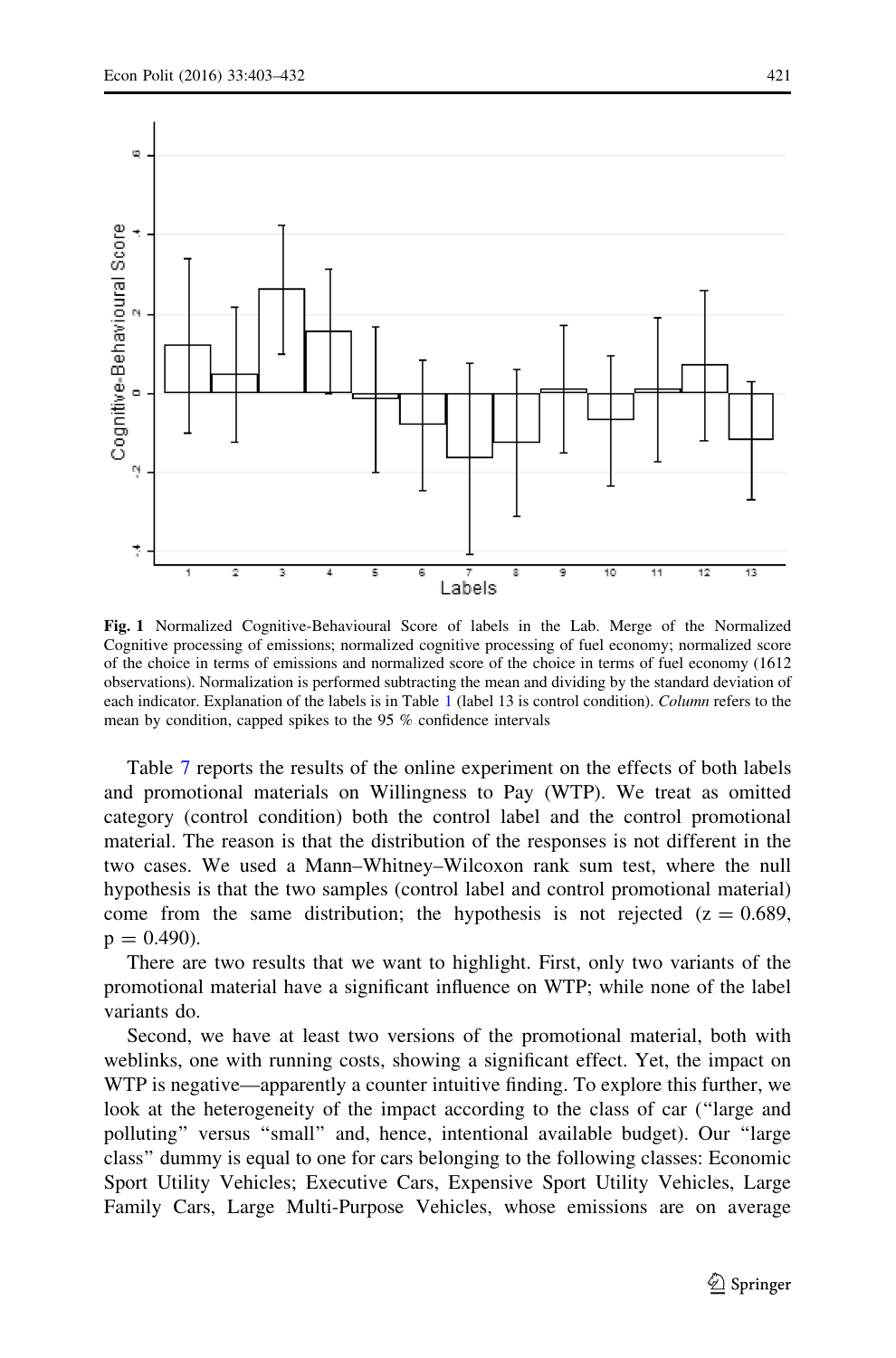<span id="page-19-0"></span>

Fig. 1 Normalized Cognitive-Behavioural Score of labels in the Lab. Merge of the Normalized Cognitive processing of emissions; normalized cognitive processing of fuel economy; normalized score of the choice in terms of emissions and normalized score of the choice in terms of fuel economy (1612 observations). Normalization is performed subtracting the mean and dividing by the standard deviation of each indicator. Explanation of the labels is in Table [1](#page-8-0) (label 13 is control condition). Column refers to the mean by condition, capped spikes to the 95 % confidence intervals

Table [7](#page-20-0) reports the results of the online experiment on the effects of both labels and promotional materials on Willingness to Pay (WTP). We treat as omitted category (control condition) both the control label and the control promotional material. The reason is that the distribution of the responses is not different in the two cases. We used a Mann–Whitney–Wilcoxon rank sum test, where the null hypothesis is that the two samples (control label and control promotional material) come from the same distribution; the hypothesis is not rejected  $(z = 0.689, ...)$  $p = 0.490$ .

There are two results that we want to highlight. First, only two variants of the promotional material have a significant influence on WTP; while none of the label variants do.

Second, we have at least two versions of the promotional material, both with weblinks, one with running costs, showing a significant effect. Yet, the impact on WTP is negative—apparently a counter intuitive finding. To explore this further, we look at the heterogeneity of the impact according to the class of car (''large and polluting'' versus ''small'' and, hence, intentional available budget). Our ''large class'' dummy is equal to one for cars belonging to the following classes: Economic Sport Utility Vehicles; Executive Cars, Expensive Sport Utility Vehicles, Large Family Cars, Large Multi-Purpose Vehicles, whose emissions are on average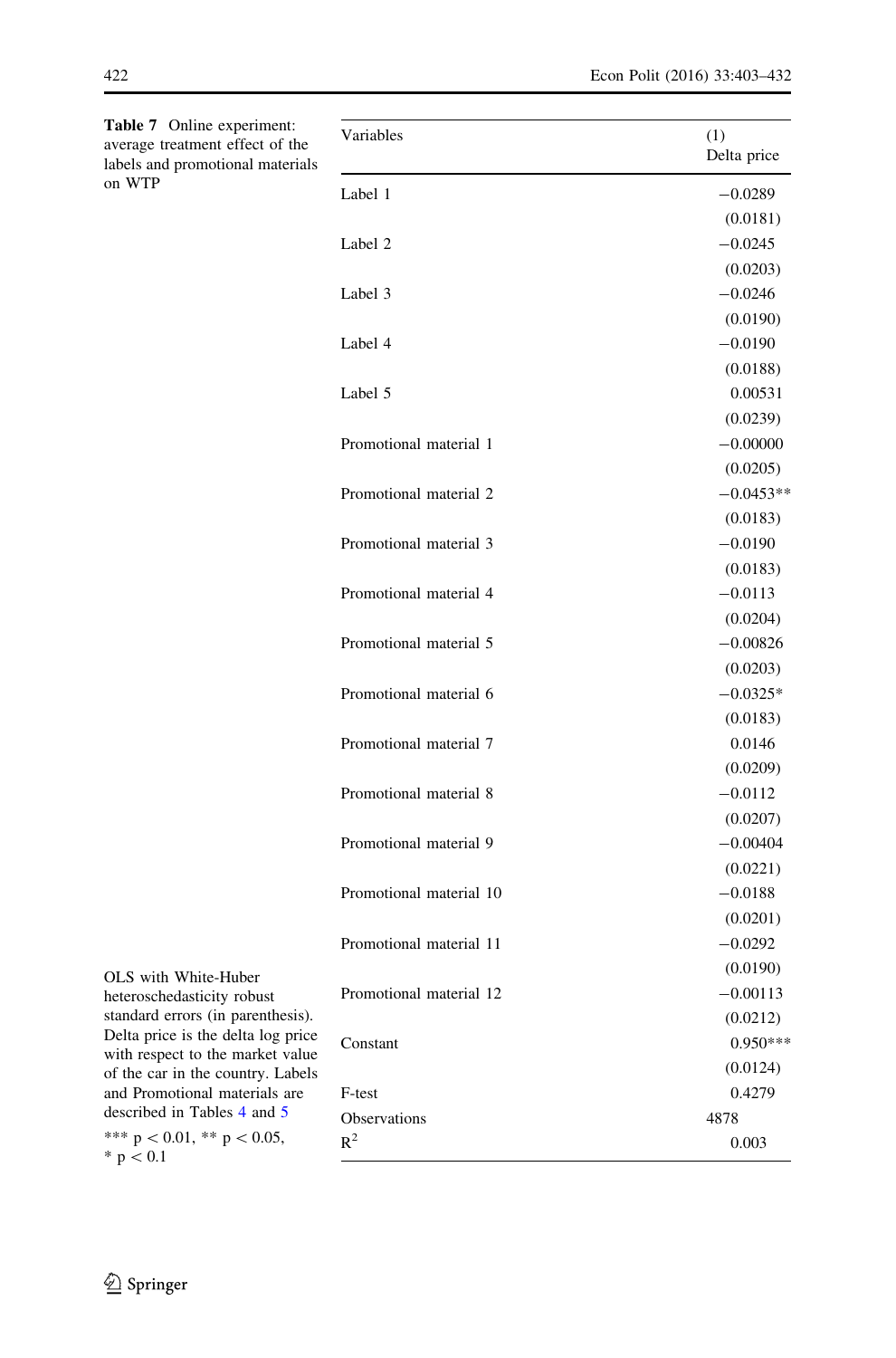| Variables               | (1)<br>Delta price |
|-------------------------|--------------------|
| Label 1                 | $-0.0289$          |
|                         | (0.0181)           |
| Label 2                 | $-0.0245$          |
|                         | (0.0203)           |
| Label 3                 | $-0.0246$          |
|                         | (0.0190)           |
| Label 4                 | $-0.0190$          |
|                         | (0.0188)           |
| Label 5                 | 0.00531            |
|                         | (0.0239)           |
| Promotional material 1  | $-0.00000$         |
|                         | (0.0205)           |
| Promotional material 2  | $-0.0453**$        |
|                         | (0.0183)           |
| Promotional material 3  | $-0.0190$          |
|                         | (0.0183)           |
| Promotional material 4  | $-0.0113$          |
|                         | (0.0204)           |
| Promotional material 5  | $-0.00826$         |
|                         | (0.0203)           |
| Promotional material 6  | $-0.0325*$         |
|                         | (0.0183)           |
| Promotional material 7  | 0.0146             |
|                         | (0.0209)           |
| Promotional material 8  | $-0.0112$          |
|                         | (0.0207)           |
| Promotional material 9  | $-0.00404$         |
|                         | (0.0221)           |
| Promotional material 10 | $-0.0188$          |
|                         | (0.0201)           |
| Promotional material 11 | $-0.0292$          |
|                         | (0.0190)           |
| Promotional material 12 | $-0.00113$         |
|                         | (0.0212)           |
| Constant                | $0.950***$         |
|                         | (0.0124)           |
| F-test                  | 0.4279             |
| Observations            | 4878               |
| $R^2$                   | 0.003              |
|                         |                    |

<span id="page-20-0"></span>Table 7 Online experiment: average treatment effect of the labels and promotional materials on WTP

OLS with White-Huber heteroschedasticity robust standard errors (in parenthesis). Delta price is the delta log price with respect to the market value of the car in the country. Labels and Promotional materials are described in Tables [4](#page-14-0) and [5](#page-15-0) \*\*\*  $p < 0.01$ , \*\*  $p < 0.05$ ,  $* p < 0.1$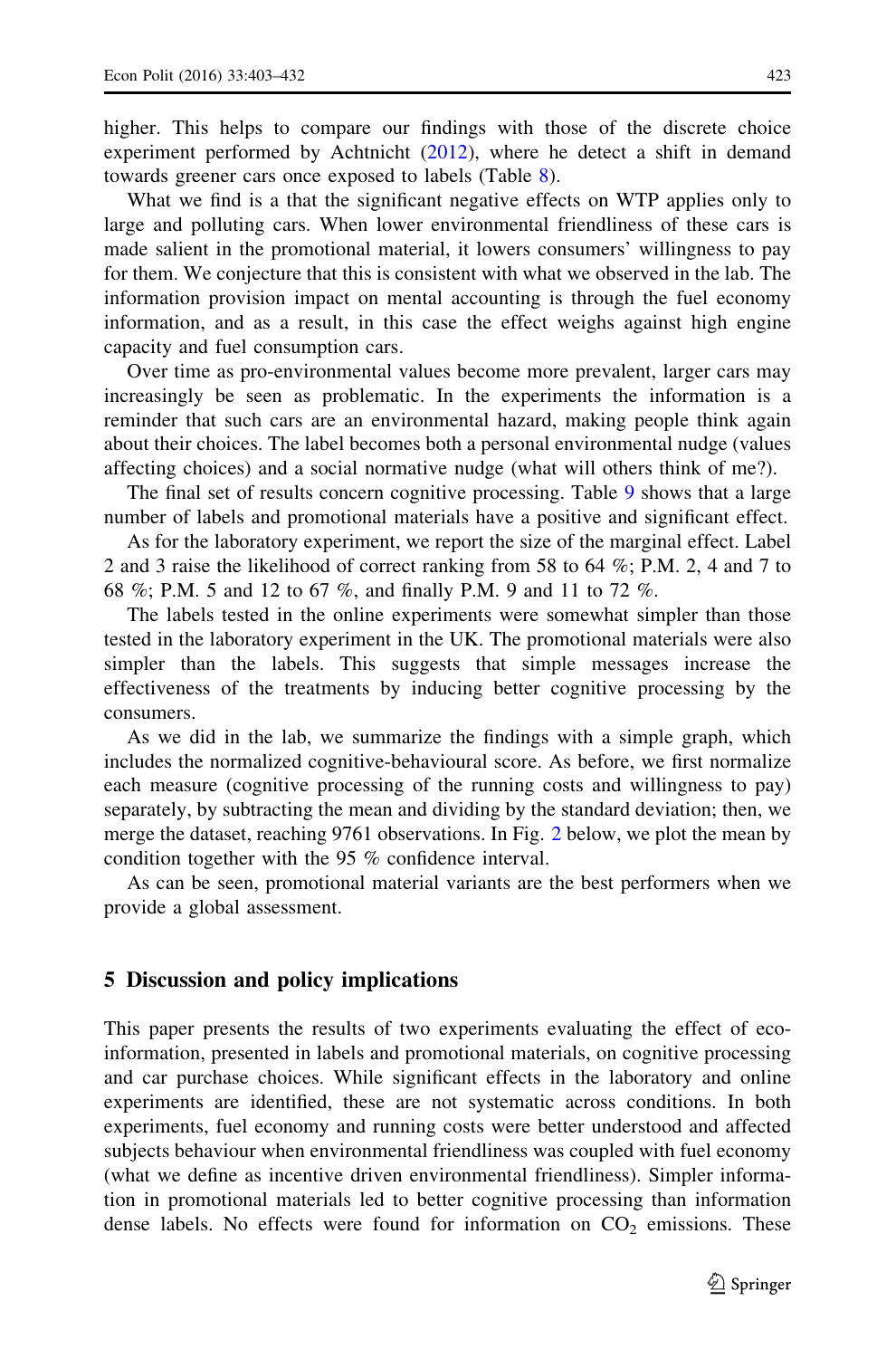<span id="page-21-0"></span>higher. This helps to compare our findings with those of the discrete choice experiment performed by Achtnicht ([2012\)](#page-27-0), where he detect a shift in demand towards greener cars once exposed to labels (Table [8](#page-22-0)).

What we find is a that the significant negative effects on WTP applies only to large and polluting cars. When lower environmental friendliness of these cars is made salient in the promotional material, it lowers consumers' willingness to pay for them. We conjecture that this is consistent with what we observed in the lab. The information provision impact on mental accounting is through the fuel economy information, and as a result, in this case the effect weighs against high engine capacity and fuel consumption cars.

Over time as pro-environmental values become more prevalent, larger cars may increasingly be seen as problematic. In the experiments the information is a reminder that such cars are an environmental hazard, making people think again about their choices. The label becomes both a personal environmental nudge (values affecting choices) and a social normative nudge (what will others think of me?).

The final set of results concern cognitive processing. Table [9](#page-24-0) shows that a large number of labels and promotional materials have a positive and significant effect.

As for the laboratory experiment, we report the size of the marginal effect. Label 2 and 3 raise the likelihood of correct ranking from 58 to 64 %; P.M. 2, 4 and 7 to 68 %; P.M. 5 and 12 to 67 %, and finally P.M. 9 and 11 to 72 %.

The labels tested in the online experiments were somewhat simpler than those tested in the laboratory experiment in the UK. The promotional materials were also simpler than the labels. This suggests that simple messages increase the effectiveness of the treatments by inducing better cognitive processing by the consumers.

As we did in the lab, we summarize the findings with a simple graph, which includes the normalized cognitive-behavioural score. As before, we first normalize each measure (cognitive processing of the running costs and willingness to pay) separately, by subtracting the mean and dividing by the standard deviation; then, we merge the dataset, reaching 9761 observations. In Fig. [2](#page-25-0) below, we plot the mean by condition together with the 95 % confidence interval.

As can be seen, promotional material variants are the best performers when we provide a global assessment.

#### 5 Discussion and policy implications

This paper presents the results of two experiments evaluating the effect of ecoinformation, presented in labels and promotional materials, on cognitive processing and car purchase choices. While significant effects in the laboratory and online experiments are identified, these are not systematic across conditions. In both experiments, fuel economy and running costs were better understood and affected subjects behaviour when environmental friendliness was coupled with fuel economy (what we define as incentive driven environmental friendliness). Simpler information in promotional materials led to better cognitive processing than information dense labels. No effects were found for information on  $CO<sub>2</sub>$  emissions. These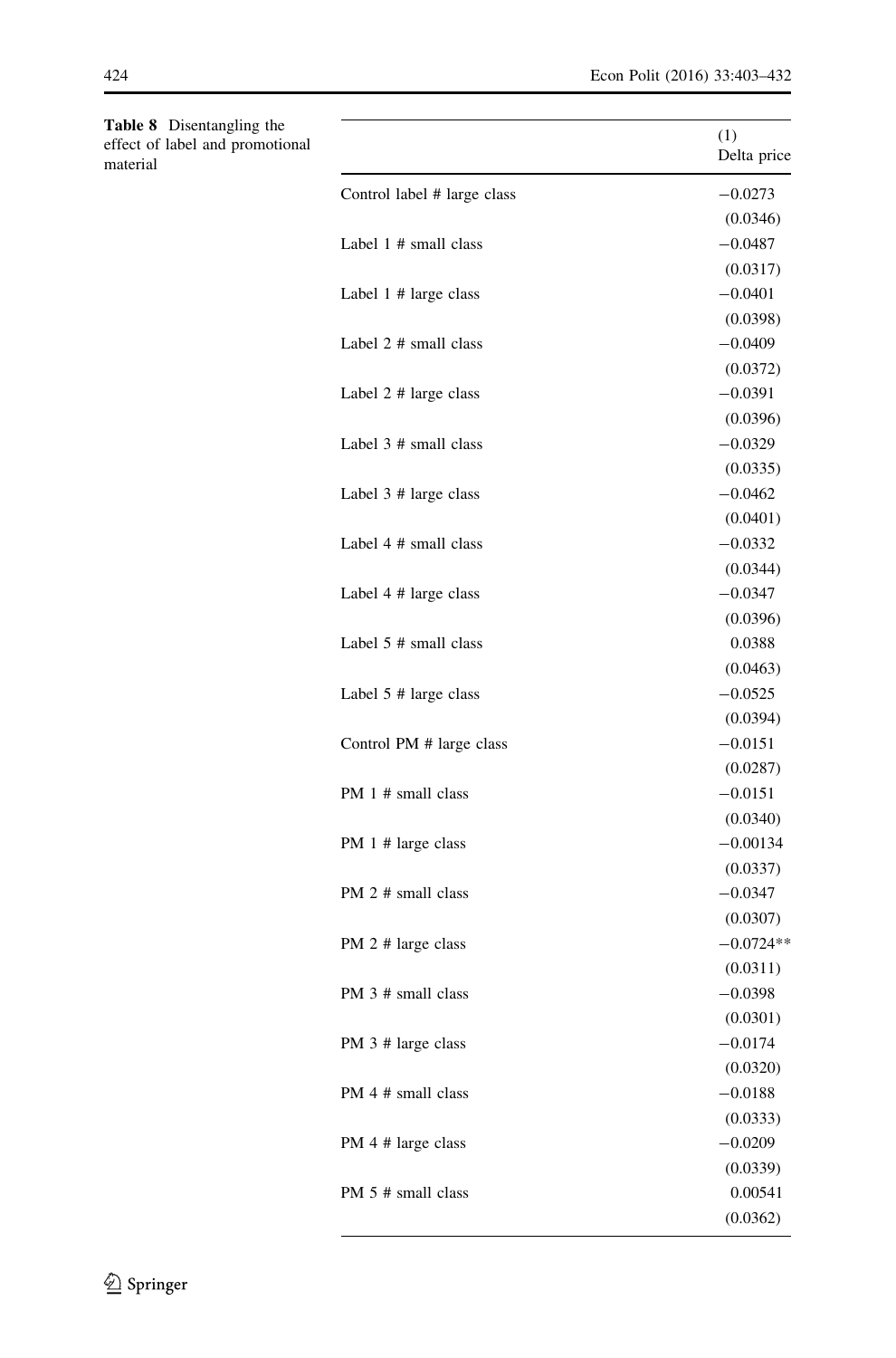<span id="page-22-0"></span>

| Table 8 Disentangling the<br>effect of label and promotional<br>material |                             | (1)<br>Delta price |
|--------------------------------------------------------------------------|-----------------------------|--------------------|
|                                                                          | Control label # large class | $-0.0273$          |
|                                                                          |                             | (0.0346)           |
|                                                                          | Label $1$ # small class     | $-0.0487$          |
|                                                                          |                             | (0.0317)           |
|                                                                          | Label 1 # large class       | $-0.0401$          |
|                                                                          |                             | (0.0398)           |
|                                                                          | Label 2 # small class       | $-0.0409$          |
|                                                                          |                             | (0.0372)           |
|                                                                          | Label 2 # large class       | $-0.0391$          |
|                                                                          |                             | (0.0396)           |
|                                                                          | Label $3$ # small class     | $-0.0329$          |
|                                                                          |                             | (0.0335)           |
|                                                                          | Label 3 # large class       | $-0.0462$          |
|                                                                          |                             | (0.0401)           |
|                                                                          | Label 4 # small class       | $-0.0332$          |
|                                                                          |                             | (0.0344)           |
|                                                                          | Label 4 # large class       | $-0.0347$          |
|                                                                          |                             | (0.0396)           |
|                                                                          | Label $5$ # small class     | 0.0388             |
|                                                                          |                             | (0.0463)           |
|                                                                          | Label $5$ # large class     | $-0.0525$          |
|                                                                          |                             | (0.0394)           |
|                                                                          | Control PM # large class    | $-0.0151$          |
|                                                                          |                             | (0.0287)           |
|                                                                          | PM 1 # small class          | $-0.0151$          |
|                                                                          |                             | (0.0340)           |
|                                                                          | PM 1 # large class          | $-0.00134$         |
|                                                                          |                             | (0.0337)           |
|                                                                          | PM 2 # small class          | $-0.0347$          |
|                                                                          |                             | (0.0307)           |
|                                                                          | PM 2 # large class          | $-0.0724**$        |
|                                                                          |                             | (0.0311)           |
|                                                                          | PM 3 # small class          | $-0.0398$          |
|                                                                          |                             | (0.0301)           |
|                                                                          | PM 3 # large class          | $-0.0174$          |
|                                                                          |                             | (0.0320)           |
|                                                                          | PM 4 # small class          | $-0.0188$          |
|                                                                          |                             | (0.0333)           |
|                                                                          | PM 4 # large class          | $-0.0209$          |
|                                                                          |                             | (0.0339)           |
|                                                                          | PM 5 # small class          | 0.00541            |
|                                                                          |                             | (0.0362)           |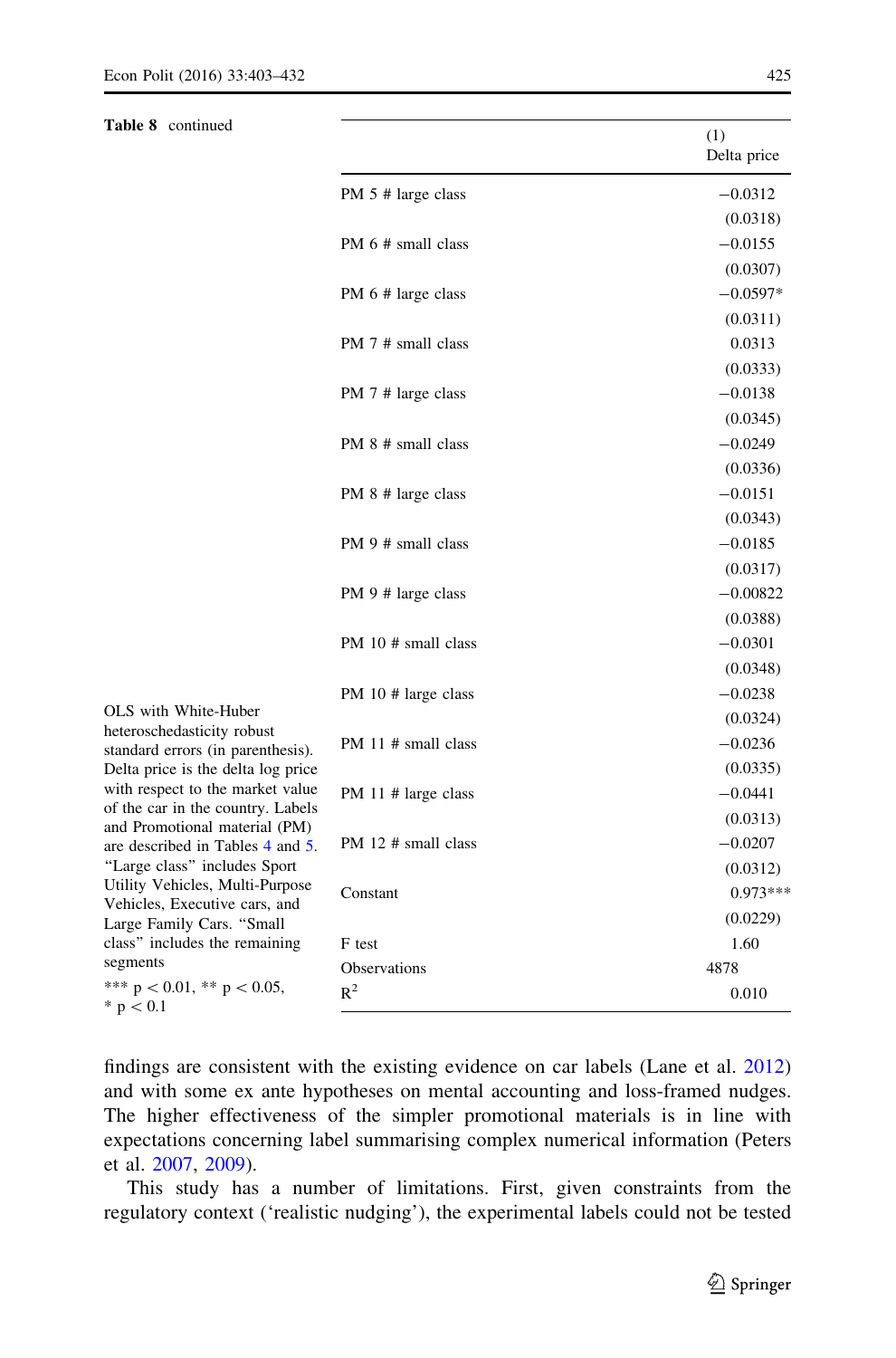Table 8 continued

| (1)         |  |
|-------------|--|
|             |  |
| Delta price |  |
|             |  |

|                                                                       |                     | (1)<br>Delta price |
|-----------------------------------------------------------------------|---------------------|--------------------|
|                                                                       | PM 5 # large class  | $-0.0312$          |
|                                                                       |                     | (0.0318)           |
|                                                                       | PM 6 # small class  | $-0.0155$          |
|                                                                       |                     | (0.0307)           |
|                                                                       | PM 6 # large class  | $-0.0597*$         |
|                                                                       |                     | (0.0311)           |
|                                                                       | PM 7 # small class  | 0.0313             |
|                                                                       |                     | (0.0333)           |
|                                                                       | PM 7 # large class  | $-0.0138$          |
|                                                                       |                     | (0.0345)           |
|                                                                       | PM 8 # small class  | $-0.0249$          |
|                                                                       |                     | (0.0336)           |
|                                                                       | PM 8 # large class  | $-0.0151$          |
|                                                                       |                     | (0.0343)           |
|                                                                       | PM 9 # small class  | $-0.0185$          |
|                                                                       |                     | (0.0317)           |
|                                                                       | PM 9 # large class  | $-0.00822$         |
|                                                                       |                     | (0.0388)           |
|                                                                       | PM 10 # small class | $-0.0301$          |
|                                                                       |                     | (0.0348)           |
| OLS with White-Huber                                                  | PM 10 # large class | $-0.0238$          |
| heteroschedasticity robust                                            |                     | (0.0324)           |
| standard errors (in parenthesis).                                     | PM 11 # small class | $-0.0236$          |
| Delta price is the delta log price                                    |                     | (0.0335)           |
| with respect to the market value<br>of the car in the country. Labels | PM 11 # large class | $-0.0441$          |
| and Promotional material (PM)                                         |                     | (0.0313)           |
| are described in Tables 4 and 5.                                      | PM 12 # small class | $-0.0207$          |
| "Large class" includes Sport<br>Utility Vehicles, Multi-Purpose       |                     | (0.0312)           |
| Vehicles, Executive cars, and<br>Large Family Cars. "Small            | Constant            | $0.973***$         |
|                                                                       |                     | (0.0229)           |
| class" includes the remaining                                         | F test              | 1.60               |
| segments<br>*** $p < 0.01$ , ** $p < 0.05$ ,                          | <b>Observations</b> | 4878               |
| * $p < 0.1$                                                           | $R^2$               | 0.010              |

findings are consistent with the existing evidence on car labels (Lane et al. [2012](#page-29-0)) and with some ex ante hypotheses on mental accounting and loss-framed nudges. The higher effectiveness of the simpler promotional materials is in line with expectations concerning label summarising complex numerical information (Peters et al. [2007,](#page-29-0) [2009](#page-29-0)).

This study has a number of limitations. First, given constraints from the regulatory context ('realistic nudging'), the experimental labels could not be tested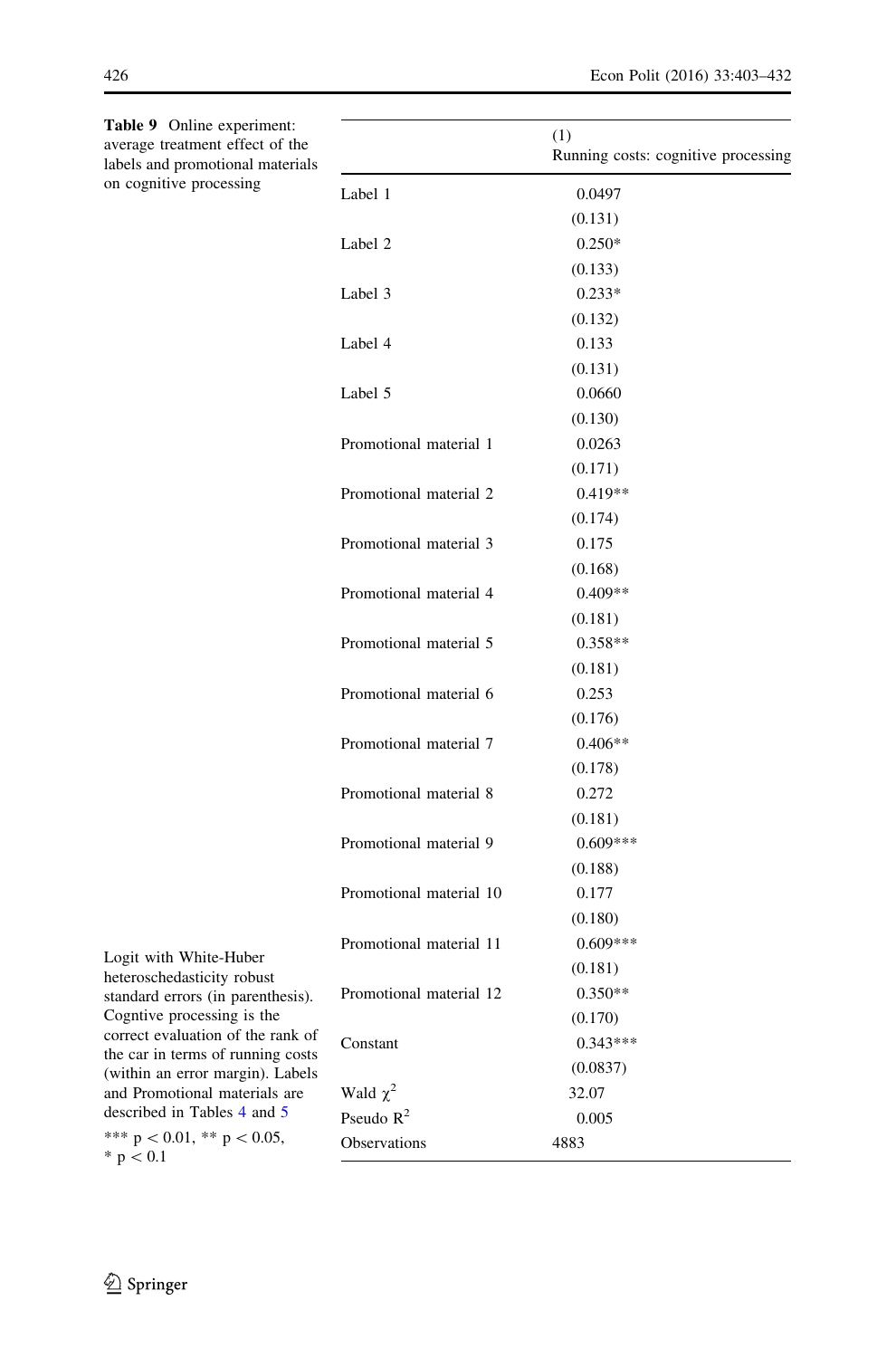<span id="page-24-0"></span>

| Table 9 Online experiment:<br>average treatment effect of the<br>labels and promotional materials |                               | (1)<br>Running costs: cognitive processing |
|---------------------------------------------------------------------------------------------------|-------------------------------|--------------------------------------------|
| on cognitive processing                                                                           | Label 1                       | 0.0497                                     |
|                                                                                                   |                               | (0.131)                                    |
|                                                                                                   | Label 2                       | $0.250*$                                   |
|                                                                                                   |                               | (0.133)                                    |
|                                                                                                   | Label 3                       | $0.233*$                                   |
|                                                                                                   |                               | (0.132)                                    |
|                                                                                                   | Label 4                       | 0.133                                      |
|                                                                                                   |                               | (0.131)                                    |
|                                                                                                   | Label 5                       | 0.0660                                     |
|                                                                                                   |                               | (0.130)                                    |
|                                                                                                   | Promotional material 1        | 0.0263                                     |
|                                                                                                   |                               | (0.171)                                    |
|                                                                                                   | Promotional material 2        | $0.419**$                                  |
|                                                                                                   |                               | (0.174)                                    |
|                                                                                                   | Promotional material 3        | 0.175                                      |
|                                                                                                   |                               | (0.168)                                    |
|                                                                                                   | Promotional material 4        | $0.409**$                                  |
|                                                                                                   |                               | (0.181)                                    |
|                                                                                                   | Promotional material 5        | $0.358**$                                  |
|                                                                                                   |                               | (0.181)                                    |
|                                                                                                   | Promotional material 6        | 0.253                                      |
|                                                                                                   |                               | (0.176)                                    |
|                                                                                                   | Promotional material 7        | $0.406**$                                  |
|                                                                                                   |                               | (0.178)                                    |
|                                                                                                   | Promotional material 8        | 0.272                                      |
|                                                                                                   |                               | (0.181)                                    |
|                                                                                                   | Promotional material 9        | $0.609***$                                 |
|                                                                                                   |                               | (0.188)                                    |
|                                                                                                   | Promotional material 10       | 0.177                                      |
|                                                                                                   |                               | (0.180)                                    |
| Logit with White-Huber                                                                            | Promotional material 11       | $0.609***$                                 |
| heteroschedasticity robust                                                                        |                               | (0.181)                                    |
| standard errors (in parenthesis).                                                                 | Promotional material 12       | $0.350**$                                  |
| Cogntive processing is the<br>correct evaluation of the rank of                                   |                               | (0.170)                                    |
| the car in terms of running costs                                                                 | Constant                      | $0.343***$                                 |
| (within an error margin). Labels                                                                  |                               | (0.0837)                                   |
| and Promotional materials are<br>described in Tables 4 and 5                                      | Wald $\chi^2$<br>Pseudo $R^2$ | 32.07                                      |
| *** $p < 0.01$ , ** $p < 0.05$ ,                                                                  |                               | 0.005                                      |
| $* n \times 01$                                                                                   | Observations                  | 4883                                       |

 $* \, p < 0.1$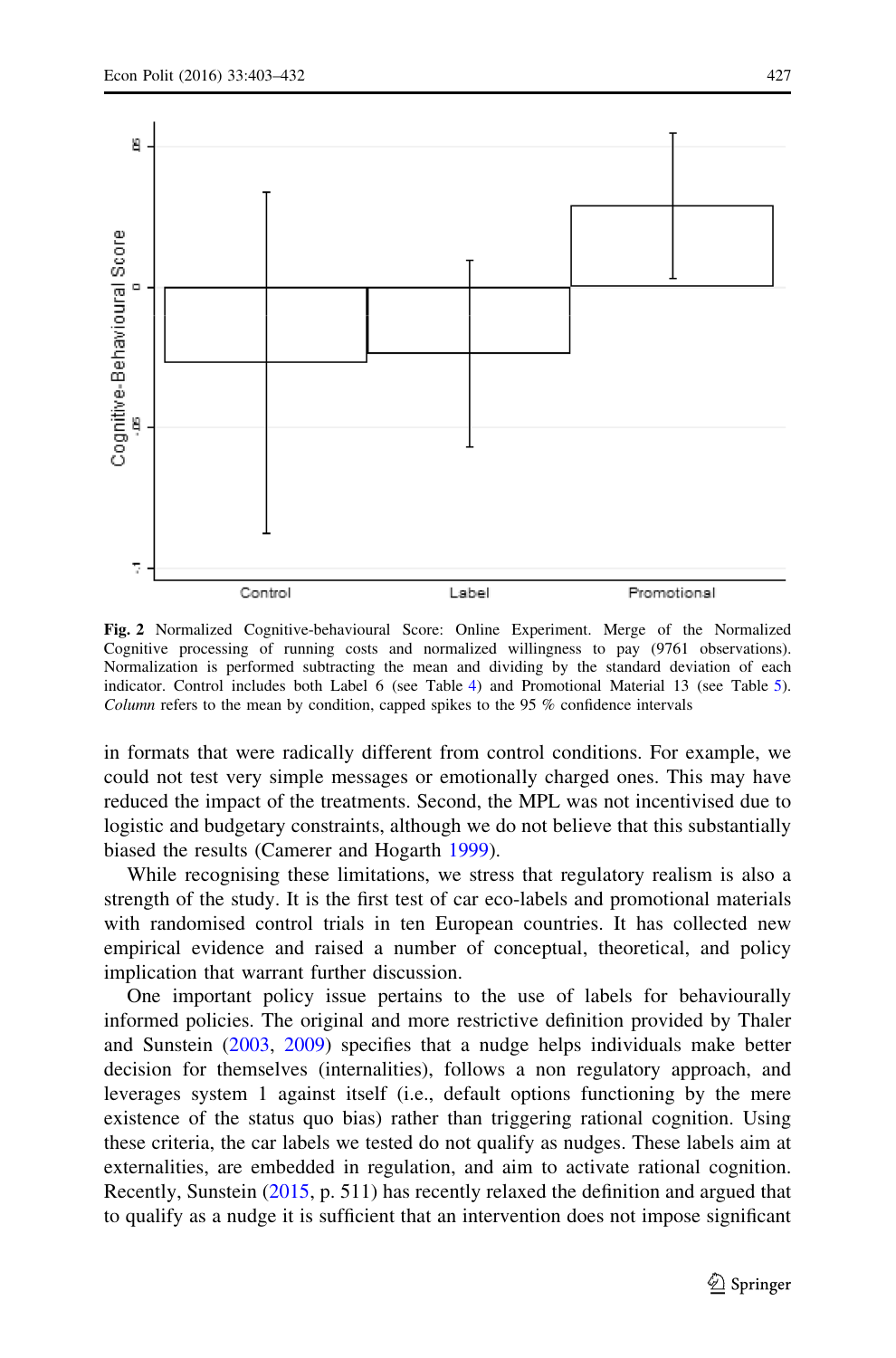<span id="page-25-0"></span>

Fig. 2 Normalized Cognitive-behavioural Score: Online Experiment. Merge of the Normalized Cognitive processing of running costs and normalized willingness to pay (9761 observations). Normalization is performed subtracting the mean and dividing by the standard deviation of each indicator. Control includes both Label 6 (see Table [4\)](#page-14-0) and Promotional Material 13 (see Table [5\)](#page-15-0). Column refers to the mean by condition, capped spikes to the 95 % confidence intervals

in formats that were radically different from control conditions. For example, we could not test very simple messages or emotionally charged ones. This may have reduced the impact of the treatments. Second, the MPL was not incentivised due to logistic and budgetary constraints, although we do not believe that this substantially biased the results (Camerer and Hogarth [1999\)](#page-27-0).

While recognising these limitations, we stress that regulatory realism is also a strength of the study. It is the first test of car eco-labels and promotional materials with randomised control trials in ten European countries. It has collected new empirical evidence and raised a number of conceptual, theoretical, and policy implication that warrant further discussion.

One important policy issue pertains to the use of labels for behaviourally informed policies. The original and more restrictive definition provided by Thaler and Sunstein [\(2003](#page-30-0), [2009](#page-30-0)) specifies that a nudge helps individuals make better decision for themselves (internalities), follows a non regulatory approach, and leverages system 1 against itself (i.e., default options functioning by the mere existence of the status quo bias) rather than triggering rational cognition. Using these criteria, the car labels we tested do not qualify as nudges. These labels aim at externalities, are embedded in regulation, and aim to activate rational cognition. Recently, Sunstein [\(2015,](#page-30-0) p. 511) has recently relaxed the definition and argued that to qualify as a nudge it is sufficient that an intervention does not impose significant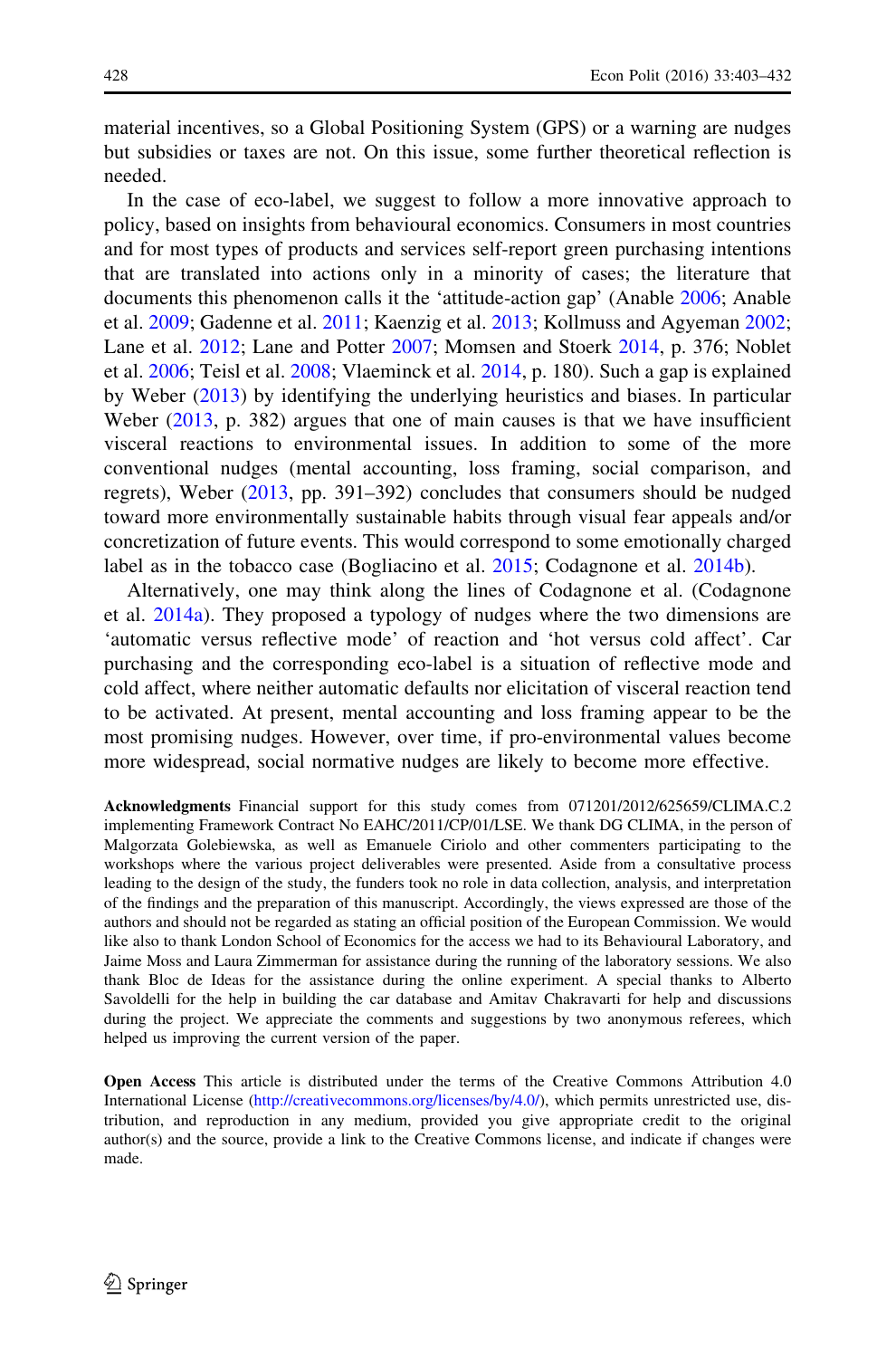material incentives, so a Global Positioning System (GPS) or a warning are nudges but subsidies or taxes are not. On this issue, some further theoretical reflection is needed.

In the case of eco-label, we suggest to follow a more innovative approach to policy, based on insights from behavioural economics. Consumers in most countries and for most types of products and services self-report green purchasing intentions that are translated into actions only in a minority of cases; the literature that documents this phenomenon calls it the 'attitude-action gap' (Anable [2006;](#page-27-0) Anable et al. [2009;](#page-27-0) Gadenne et al. [2011](#page-28-0); Kaenzig et al. [2013](#page-29-0); Kollmuss and Agyeman [2002;](#page-29-0) Lane et al. [2012;](#page-29-0) Lane and Potter [2007](#page-29-0); Momsen and Stoerk [2014,](#page-29-0) p. 376; Noblet et al. [2006;](#page-29-0) Teisl et al. [2008](#page-30-0); Vlaeminck et al. [2014](#page-30-0), p. 180). Such a gap is explained by Weber ([2013\)](#page-30-0) by identifying the underlying heuristics and biases. In particular Weber ([2013,](#page-30-0) p. 382) argues that one of main causes is that we have insufficient visceral reactions to environmental issues. In addition to some of the more conventional nudges (mental accounting, loss framing, social comparison, and regrets), Weber ([2013,](#page-30-0) pp. 391–392) concludes that consumers should be nudged toward more environmentally sustainable habits through visual fear appeals and/or concretization of future events. This would correspond to some emotionally charged label as in the tobacco case (Bogliacino et al. [2015;](#page-27-0) Codagnone et al. [2014b](#page-28-0)).

Alternatively, one may think along the lines of Codagnone et al. (Codagnone et al. [2014a\)](#page-27-0). They proposed a typology of nudges where the two dimensions are 'automatic versus reflective mode' of reaction and 'hot versus cold affect'. Car purchasing and the corresponding eco-label is a situation of reflective mode and cold affect, where neither automatic defaults nor elicitation of visceral reaction tend to be activated. At present, mental accounting and loss framing appear to be the most promising nudges. However, over time, if pro-environmental values become more widespread, social normative nudges are likely to become more effective.

Acknowledgments Financial support for this study comes from 071201/2012/625659/CLIMA.C.2 implementing Framework Contract No EAHC/2011/CP/01/LSE. We thank DG CLIMA, in the person of Malgorzata Golebiewska, as well as Emanuele Ciriolo and other commenters participating to the workshops where the various project deliverables were presented. Aside from a consultative process leading to the design of the study, the funders took no role in data collection, analysis, and interpretation of the findings and the preparation of this manuscript. Accordingly, the views expressed are those of the authors and should not be regarded as stating an official position of the European Commission. We would like also to thank London School of Economics for the access we had to its Behavioural Laboratory, and Jaime Moss and Laura Zimmerman for assistance during the running of the laboratory sessions. We also thank Bloc de Ideas for the assistance during the online experiment. A special thanks to Alberto Savoldelli for the help in building the car database and Amitav Chakravarti for help and discussions during the project. We appreciate the comments and suggestions by two anonymous referees, which helped us improving the current version of the paper.

Open Access This article is distributed under the terms of the Creative Commons Attribution 4.0 International License ([http://creativecommons.org/licenses/by/4.0/\)](http://creativecommons.org/licenses/by/4.0/), which permits unrestricted use, distribution, and reproduction in any medium, provided you give appropriate credit to the original author(s) and the source, provide a link to the Creative Commons license, and indicate if changes were made.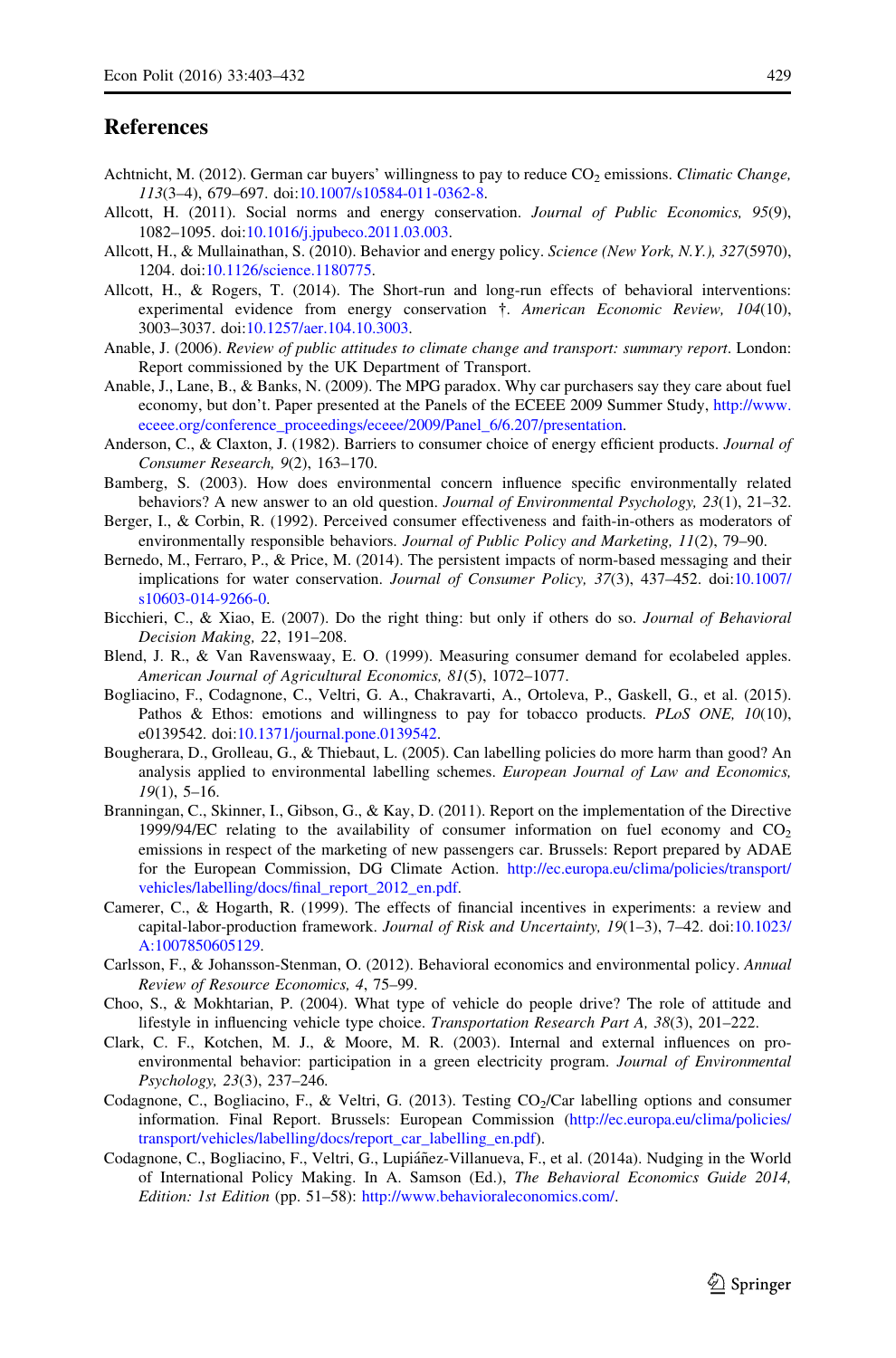#### <span id="page-27-0"></span>References

- Achtnicht, M. (2012). German car buyers' willingness to pay to reduce  $CO<sub>2</sub>$  emissions. Climatic Change, 113(3–4), 679–697. doi:[10.1007/s10584-011-0362-8](http://dx.doi.org/10.1007/s10584-011-0362-8).
- Allcott, H. (2011). Social norms and energy conservation. Journal of Public Economics, 95(9), 1082–1095. doi:[10.1016/j.jpubeco.2011.03.003](http://dx.doi.org/10.1016/j.jpubeco.2011.03.003).
- Allcott, H., & Mullainathan, S. (2010). Behavior and energy policy. Science (New York, N.Y.), 327(5970), 1204. doi[:10.1126/science.1180775](http://dx.doi.org/10.1126/science.1180775).
- Allcott, H., & Rogers, T. (2014). The Short-run and long-run effects of behavioral interventions: experimental evidence from energy conservation  $\dagger$ . American Economic Review, 104(10), 3003–3037. doi:[10.1257/aer.104.10.3003](http://dx.doi.org/10.1257/aer.104.10.3003).
- Anable, J. (2006). Review of public attitudes to climate change and transport: summary report. London: Report commissioned by the UK Department of Transport.
- Anable, J., Lane, B., & Banks, N. (2009). The MPG paradox. Why car purchasers say they care about fuel economy, but don't. Paper presented at the Panels of the ECEEE 2009 Summer Study, [http://www.](http://www.eceee.org/conference_proceedings/eceee/2009/Panel_6/6.207/presentation) [eceee.org/conference\\_proceedings/eceee/2009/Panel\\_6/6.207/presentation.](http://www.eceee.org/conference_proceedings/eceee/2009/Panel_6/6.207/presentation)
- Anderson, C., & Claxton, J. (1982). Barriers to consumer choice of energy efficient products. Journal of Consumer Research, 9(2), 163–170.
- Bamberg, S. (2003). How does environmental concern influence specific environmentally related behaviors? A new answer to an old question. *Journal of Environmental Psychology*, 23(1), 21–32.
- Berger, I., & Corbin, R. (1992). Perceived consumer effectiveness and faith-in-others as moderators of environmentally responsible behaviors. Journal of Public Policy and Marketing, 11(2), 79–90.
- Bernedo, M., Ferraro, P., & Price, M. (2014). The persistent impacts of norm-based messaging and their implications for water conservation. Journal of Consumer Policy, 37(3), 437–452. doi[:10.1007/](http://dx.doi.org/10.1007/s10603-014-9266-0) [s10603-014-9266-0.](http://dx.doi.org/10.1007/s10603-014-9266-0)
- Bicchieri, C., & Xiao, E. (2007). Do the right thing: but only if others do so. *Journal of Behavioral* Decision Making, 22, 191–208.
- Blend, J. R., & Van Ravenswaay, E. O. (1999). Measuring consumer demand for ecolabeled apples. American Journal of Agricultural Economics, 81(5), 1072–1077.
- Bogliacino, F., Codagnone, C., Veltri, G. A., Chakravarti, A., Ortoleva, P., Gaskell, G., et al. (2015). Pathos & Ethos: emotions and willingness to pay for tobacco products. PLoS ONE, 10(10), e0139542. doi[:10.1371/journal.pone.0139542](http://dx.doi.org/10.1371/journal.pone.0139542).
- Bougherara, D., Grolleau, G., & Thiebaut, L. (2005). Can labelling policies do more harm than good? An analysis applied to environmental labelling schemes. European Journal of Law and Economics,  $19(1)$ , 5-16.
- Branningan, C., Skinner, I., Gibson, G., & Kay, D. (2011). Report on the implementation of the Directive 1999/94/EC relating to the availability of consumer information on fuel economy and  $CO<sub>2</sub>$ emissions in respect of the marketing of new passengers car. Brussels: Report prepared by ADAE for the European Commission, DG Climate Action. [http://ec.europa.eu/clima/policies/transport/](http://ec.europa.eu/clima/policies/transport/vehicles/labelling/docs/final_report_2012_en.pdf) [vehicles/labelling/docs/final\\_report\\_2012\\_en.pdf.](http://ec.europa.eu/clima/policies/transport/vehicles/labelling/docs/final_report_2012_en.pdf)
- Camerer, C., & Hogarth, R. (1999). The effects of financial incentives in experiments: a review and capital-labor-production framework. Journal of Risk and Uncertainty, 19(1–3), 7–42. doi[:10.1023/](http://dx.doi.org/10.1023/A:1007850605129) [A:1007850605129.](http://dx.doi.org/10.1023/A:1007850605129)
- Carlsson, F., & Johansson-Stenman, O. (2012). Behavioral economics and environmental policy. Annual Review of Resource Economics, 4, 75–99.
- Choo, S., & Mokhtarian, P. (2004). What type of vehicle do people drive? The role of attitude and lifestyle in influencing vehicle type choice. Transportation Research Part A, 38(3), 201–222.
- Clark, C. F., Kotchen, M. J., & Moore, M. R. (2003). Internal and external influences on proenvironmental behavior: participation in a green electricity program. Journal of Environmental Psychology, 23(3), 237–246.
- Codagnone, C., Bogliacino, F., & Veltri, G. (2013). Testing CO<sub>2</sub>/Car labelling options and consumer information. Final Report. Brussels: European Commission ([http://ec.europa.eu/clima/policies/](http://ec.europa.eu/clima/policies/transport/vehicles/labelling/docs/report_car_labelling_en.pdf) [transport/vehicles/labelling/docs/report\\_car\\_labelling\\_en.pdf\)](http://ec.europa.eu/clima/policies/transport/vehicles/labelling/docs/report_car_labelling_en.pdf).
- Codagnone, C., Bogliacino, F., Veltri, G., Lupiáñez-Villanueva, F., et al. (2014a). Nudging in the World of International Policy Making. In A. Samson (Ed.), The Behavioral Economics Guide 2014, Edition: 1st Edition (pp. 51–58): [http://www.behavioraleconomics.com/.](http://www.behavioraleconomics.com/)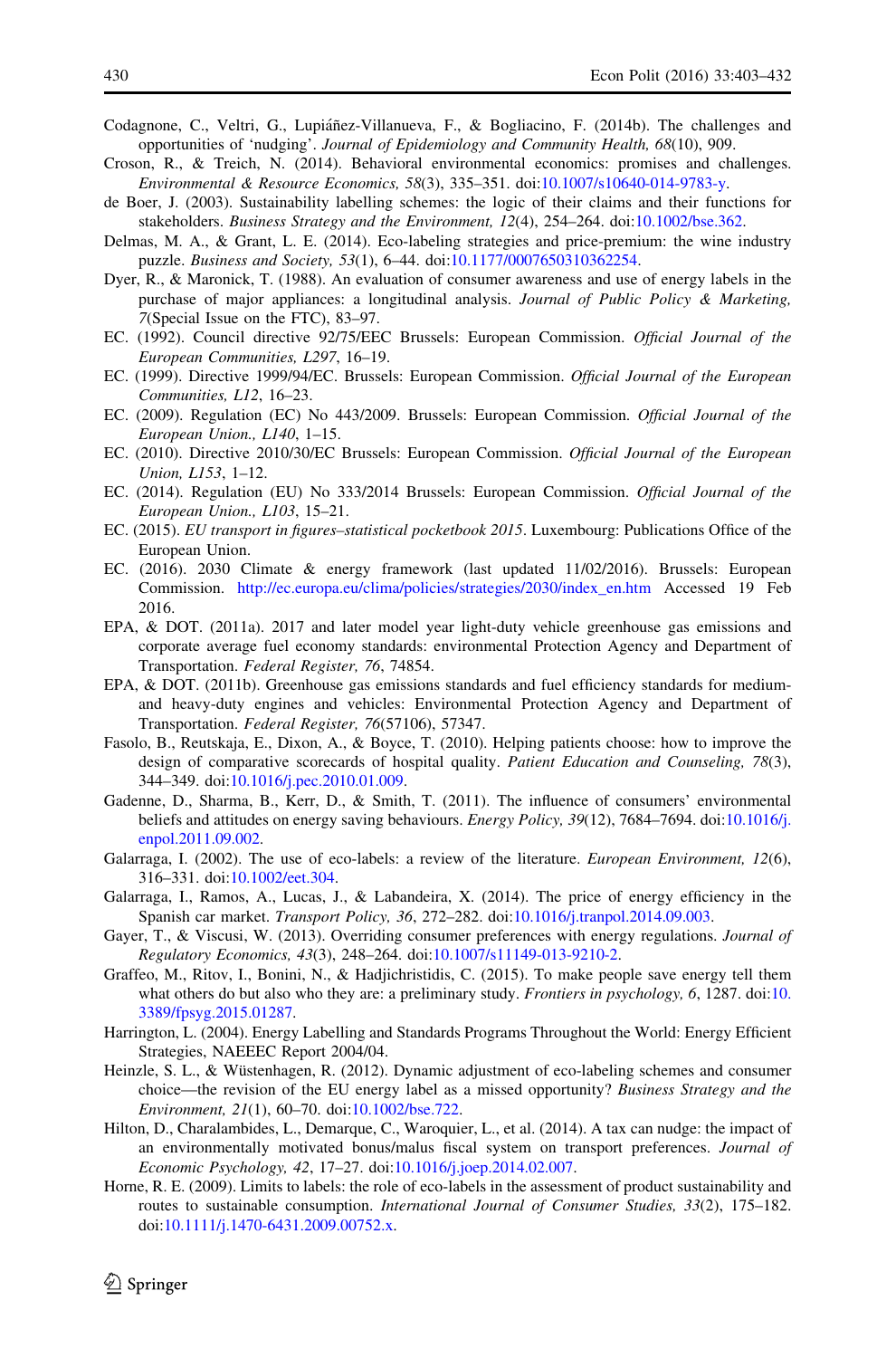- <span id="page-28-0"></span>Codagnone, C., Veltri, G., Lupiáñez-Villanueva, F., & Bogliacino, F. (2014b). The challenges and opportunities of 'nudging'. Journal of Epidemiology and Community Health, 68(10), 909.
- Croson, R., & Treich, N. (2014). Behavioral environmental economics: promises and challenges. Environmental & Resource Economics, 58(3), 335–351. doi[:10.1007/s10640-014-9783-y](http://dx.doi.org/10.1007/s10640-014-9783-y).
- de Boer, J. (2003). Sustainability labelling schemes: the logic of their claims and their functions for stakeholders. Business Strategy and the Environment, 12(4), 254–264. doi:[10.1002/bse.362](http://dx.doi.org/10.1002/bse.362).
- Delmas, M. A., & Grant, L. E. (2014). Eco-labeling strategies and price-premium: the wine industry puzzle. Business and Society, 53(1), 6–44. doi[:10.1177/0007650310362254.](http://dx.doi.org/10.1177/0007650310362254)
- Dyer, R., & Maronick, T. (1988). An evaluation of consumer awareness and use of energy labels in the purchase of major appliances: a longitudinal analysis. Journal of Public Policy & Marketing, 7(Special Issue on the FTC), 83–97.
- EC. (1992). Council directive 92/75/EEC Brussels: European Commission. Official Journal of the European Communities, L297, 16–19.
- EC. (1999). Directive 1999/94/EC. Brussels: European Commission. Official Journal of the European Communities, L12, 16–23.
- EC. (2009). Regulation (EC) No 443/2009. Brussels: European Commission. Official Journal of the European Union., L140, 1–15.
- EC. (2010). Directive 2010/30/EC Brussels: European Commission. Official Journal of the European Union, L153, 1–12.
- EC. (2014). Regulation (EU) No 333/2014 Brussels: European Commission. Official Journal of the European Union., L103, 15–21.
- EC. (2015). EU transport in figures–statistical pocketbook 2015. Luxembourg: Publications Office of the European Union.
- EC. (2016). 2030 Climate & energy framework (last updated 11/02/2016). Brussels: European Commission. [http://ec.europa.eu/clima/policies/strategies/2030/index\\_en.htm](http://ec.europa.eu/clima/policies/strategies/2030/index_en.htm) Accessed 19 Feb 2016.
- EPA, & DOT. (2011a). 2017 and later model year light-duty vehicle greenhouse gas emissions and corporate average fuel economy standards: environmental Protection Agency and Department of Transportation. Federal Register, 76, 74854.
- EPA, & DOT. (2011b). Greenhouse gas emissions standards and fuel efficiency standards for mediumand heavy-duty engines and vehicles: Environmental Protection Agency and Department of Transportation. Federal Register, 76(57106), 57347.
- Fasolo, B., Reutskaja, E., Dixon, A., & Boyce, T. (2010). Helping patients choose: how to improve the design of comparative scorecards of hospital quality. Patient Education and Counseling, 78(3), 344–349. doi:[10.1016/j.pec.2010.01.009](http://dx.doi.org/10.1016/j.pec.2010.01.009).
- Gadenne, D., Sharma, B., Kerr, D., & Smith, T. (2011). The influence of consumers' environmental beliefs and attitudes on energy saving behaviours. Energy Policy, 39(12), 7684–7694. doi[:10.1016/j.](http://dx.doi.org/10.1016/j.enpol.2011.09.002) [enpol.2011.09.002](http://dx.doi.org/10.1016/j.enpol.2011.09.002).
- Galarraga, I. (2002). The use of eco-labels: a review of the literature. *European Environment*, 12(6), 316–331. doi:[10.1002/eet.304](http://dx.doi.org/10.1002/eet.304).
- Galarraga, I., Ramos, A., Lucas, J., & Labandeira, X. (2014). The price of energy efficiency in the Spanish car market. Transport Policy, 36, 272–282. doi[:10.1016/j.tranpol.2014.09.003.](http://dx.doi.org/10.1016/j.tranpol.2014.09.003)
- Gayer, T., & Viscusi, W. (2013). Overriding consumer preferences with energy regulations. Journal of Regulatory Economics, 43(3), 248–264. doi[:10.1007/s11149-013-9210-2](http://dx.doi.org/10.1007/s11149-013-9210-2).
- Graffeo, M., Ritov, I., Bonini, N., & Hadjichristidis, C. (2015). To make people save energy tell them what others do but also who they are: a preliminary study. Frontiers in psychology, 6, 1287. doi[:10.](http://dx.doi.org/10.3389/fpsyg.2015.01287) [3389/fpsyg.2015.01287.](http://dx.doi.org/10.3389/fpsyg.2015.01287)
- Harrington, L. (2004). Energy Labelling and Standards Programs Throughout the World: Energy Efficient Strategies, NAEEEC Report 2004/04.
- Heinzle, S. L., & Wüstenhagen, R. (2012). Dynamic adjustment of eco-labeling schemes and consumer choice—the revision of the EU energy label as a missed opportunity? Business Strategy and the Environment, 21(1), 60–70. doi:[10.1002/bse.722](http://dx.doi.org/10.1002/bse.722).
- Hilton, D., Charalambides, L., Demarque, C., Waroquier, L., et al. (2014). A tax can nudge: the impact of an environmentally motivated bonus/malus fiscal system on transport preferences. Journal of Economic Psychology, 42, 17–27. doi[:10.1016/j.joep.2014.02.007](http://dx.doi.org/10.1016/j.joep.2014.02.007).
- Horne, R. E. (2009). Limits to labels: the role of eco-labels in the assessment of product sustainability and routes to sustainable consumption. *International Journal of Consumer Studies*, 33(2), 175–182. doi[:10.1111/j.1470-6431.2009.00752.x.](http://dx.doi.org/10.1111/j.1470-6431.2009.00752.x)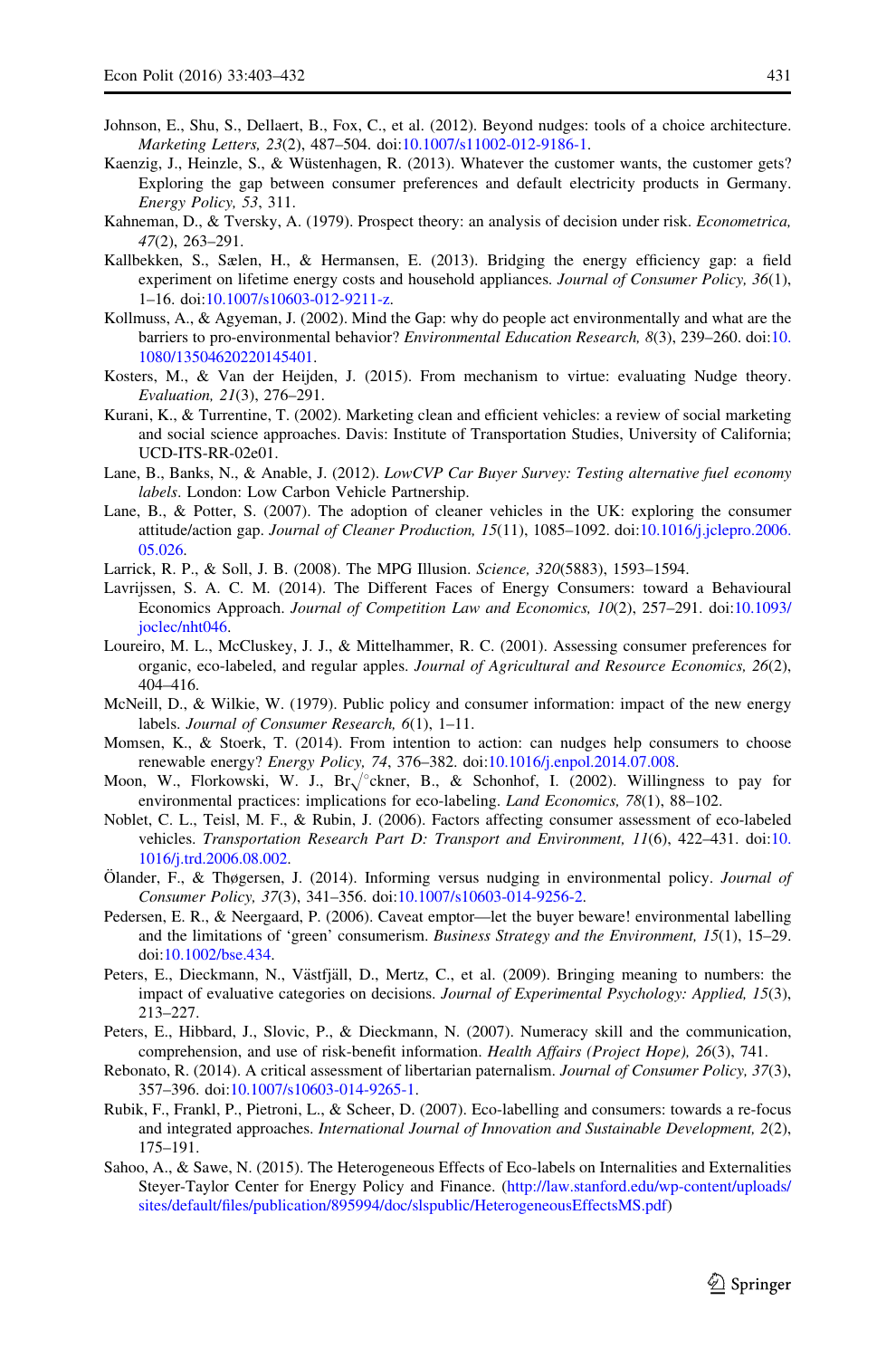- <span id="page-29-0"></span>Johnson, E., Shu, S., Dellaert, B., Fox, C., et al. (2012). Beyond nudges: tools of a choice architecture. Marketing Letters, 23(2), 487–504. doi[:10.1007/s11002-012-9186-1](http://dx.doi.org/10.1007/s11002-012-9186-1).
- Kaenzig, J., Heinzle, S., & Wüstenhagen, R. (2013). Whatever the customer wants, the customer gets? Exploring the gap between consumer preferences and default electricity products in Germany. Energy Policy, 53, 311.
- Kahneman, D., & Tversky, A. (1979). Prospect theory: an analysis of decision under risk. Econometrica, 47(2), 263–291.
- Kallbekken, S., Sælen, H., & Hermansen, E. (2013). Bridging the energy efficiency gap: a field experiment on lifetime energy costs and household appliances. Journal of Consumer Policy, 36(1), 1–16. doi[:10.1007/s10603-012-9211-z](http://dx.doi.org/10.1007/s10603-012-9211-z).
- Kollmuss, A., & Agyeman, J. (2002). Mind the Gap: why do people act environmentally and what are the barriers to pro-environmental behavior? Environmental Education Research, 8(3), 239–260. doi[:10.](http://dx.doi.org/10.1080/13504620220145401) [1080/13504620220145401.](http://dx.doi.org/10.1080/13504620220145401)
- Kosters, M., & Van der Heijden, J. (2015). From mechanism to virtue: evaluating Nudge theory. Evaluation, 21(3), 276–291.
- Kurani, K., & Turrentine, T. (2002). Marketing clean and efficient vehicles: a review of social marketing and social science approaches. Davis: Institute of Transportation Studies, University of California; UCD-ITS-RR-02e01.
- Lane, B., Banks, N., & Anable, J. (2012). LowCVP Car Buyer Survey: Testing alternative fuel economy labels. London: Low Carbon Vehicle Partnership.
- Lane, B., & Potter, S. (2007). The adoption of cleaner vehicles in the UK: exploring the consumer attitude/action gap. Journal of Cleaner Production, 15(11), 1085–1092. doi[:10.1016/j.jclepro.2006.](http://dx.doi.org/10.1016/j.jclepro.2006.05.026) [05.026.](http://dx.doi.org/10.1016/j.jclepro.2006.05.026)
- Larrick, R. P., & Soll, J. B. (2008). The MPG Illusion. Science, 320(5883), 1593–1594.
- Lavrijssen, S. A. C. M. (2014). The Different Faces of Energy Consumers: toward a Behavioural Economics Approach. Journal of Competition Law and Economics, 10(2), 257–291. doi[:10.1093/](http://dx.doi.org/10.1093/joclec/nht046) [joclec/nht046.](http://dx.doi.org/10.1093/joclec/nht046)
- Loureiro, M. L., McCluskey, J. J., & Mittelhammer, R. C. (2001). Assessing consumer preferences for organic, eco-labeled, and regular apples. Journal of Agricultural and Resource Economics, 26(2), 404–416.
- McNeill, D., & Wilkie, W. (1979). Public policy and consumer information: impact of the new energy labels. Journal of Consumer Research, 6(1), 1-11.
- Momsen, K., & Stoerk, T. (2014). From intention to action: can nudges help consumers to choose renewable energy? Energy Policy, 74, 376–382. doi:[10.1016/j.enpol.2014.07.008](http://dx.doi.org/10.1016/j.enpol.2014.07.008).
- Moon, W., Florkowski, W. J.,  $Br\sqrt{\ }$ ckner, B., & Schonhof, I. (2002). Willingness to pay for environmental practices: implications for eco-labeling. Land Economics, 78(1), 88–102.
- Noblet, C. L., Teisl, M. F., & Rubin, J. (2006). Factors affecting consumer assessment of eco-labeled vehicles. Transportation Research Part D: Transport and Environment, 11(6), 422–431. doi[:10.](http://dx.doi.org/10.1016/j.trd.2006.08.002) [1016/j.trd.2006.08.002.](http://dx.doi.org/10.1016/j.trd.2006.08.002)
- Ölander, F., & Thøgersen, J. (2014). Informing versus nudging in environmental policy. Journal of Consumer Policy, 37(3), 341–356. doi[:10.1007/s10603-014-9256-2.](http://dx.doi.org/10.1007/s10603-014-9256-2)
- Pedersen, E. R., & Neergaard, P. (2006). Caveat emptor—let the buyer beware! environmental labelling and the limitations of 'green' consumerism. Business Strategy and the Environment, 15(1), 15–29. doi[:10.1002/bse.434.](http://dx.doi.org/10.1002/bse.434)
- Peters, E., Dieckmann, N., Västfjäll, D., Mertz, C., et al. (2009). Bringing meaning to numbers: the impact of evaluative categories on decisions. Journal of Experimental Psychology: Applied, 15(3), 213–227.
- Peters, E., Hibbard, J., Slovic, P., & Dieckmann, N. (2007). Numeracy skill and the communication, comprehension, and use of risk-benefit information. Health Affairs (Project Hope), 26(3), 741.
- Rebonato, R. (2014). A critical assessment of libertarian paternalism. Journal of Consumer Policy, 37(3), 357–396. doi:[10.1007/s10603-014-9265-1.](http://dx.doi.org/10.1007/s10603-014-9265-1)
- Rubik, F., Frankl, P., Pietroni, L., & Scheer, D. (2007). Eco-labelling and consumers: towards a re-focus and integrated approaches. International Journal of Innovation and Sustainable Development, 2(2), 175–191.
- Sahoo, A., & Sawe, N. (2015). The Heterogeneous Effects of Eco-labels on Internalities and Externalities Steyer-Taylor Center for Energy Policy and Finance. ([http://law.stanford.edu/wp-content/uploads/](http://law.stanford.edu/wp-content/uploads/sites/default/files/publication/895994/doc/slspublic/HeterogeneousEffectsMS.pdf) [sites/default/files/publication/895994/doc/slspublic/HeterogeneousEffectsMS.pdf](http://law.stanford.edu/wp-content/uploads/sites/default/files/publication/895994/doc/slspublic/HeterogeneousEffectsMS.pdf))